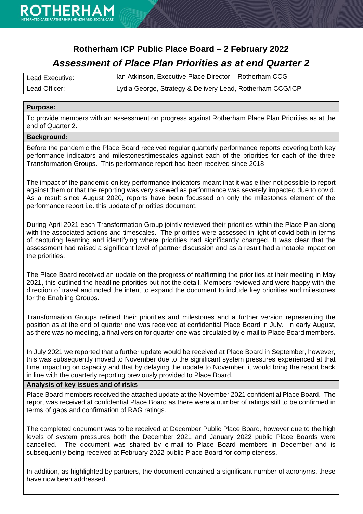

### **Rotherham ICP Public Place Board – 2 February 2022** *Assessment of Place Plan Priorities as at end Quarter 2*

| Lead Executive: | Ian Atkinson, Executive Place Director - Rotherham CCG    |
|-----------------|-----------------------------------------------------------|
| Lead Officer:   | Lydia George, Strategy & Delivery Lead, Rotherham CCG/ICP |

#### **Purpose:**

To provide members with an assessment on progress against Rotherham Place Plan Priorities as at the end of Quarter 2.

#### **Background:**

Before the pandemic the Place Board received regular quarterly performance reports covering both key performance indicators and milestones/timescales against each of the priorities for each of the three Transformation Groups. This performance report had been received since 2018.

The impact of the pandemic on key performance indicators meant that it was either not possible to report against them or that the reporting was very skewed as performance was severely impacted due to covid. As a result since August 2020, reports have been focussed on only the milestones element of the performance report i.e. this update of priorities document.

During April 2021 each Transformation Group jointly reviewed their priorities within the Place Plan along with the associated actions and timescales. The priorities were assessed in light of covid both in terms of capturing learning and identifying where priorities had significantly changed. It was clear that the assessment had raised a significant level of partner discussion and as a result had a notable impact on the priorities.

The Place Board received an update on the progress of reaffirming the priorities at their meeting in May 2021, this outlined the headline priorities but not the detail. Members reviewed and were happy with the direction of travel and noted the intent to expand the document to include key priorities and milestones for the Enabling Groups.

Transformation Groups refined their priorities and milestones and a further version representing the position as at the end of quarter one was received at confidential Place Board in July. In early August, as there was no meeting, a final version for quarter one was circulated by e-mail to Place Board members.

In July 2021 we reported that a further update would be received at Place Board in September, however, this was subsequently moved to November due to the significant system pressures experienced at that time impacting on capacity and that by delaying the update to November, it would bring the report back in line with the quarterly reporting previously provided to Place Board.

#### **Analysis of key issues and of risks**

Place Board members received the attached update at the November 2021 confidential Place Board. The report was received at confidential Place Board as there were a number of ratings still to be confirmed in terms of gaps and confirmation of RAG ratings.

The completed document was to be received at December Public Place Board, however due to the high levels of system pressures both the December 2021 and January 2022 public Place Boards were cancelled. The document was shared by e-mail to Place Board members in December and is subsequently being received at February 2022 public Place Board for completeness.

In addition, as highlighted by partners, the document contained a significant number of acronyms, these have now been addressed.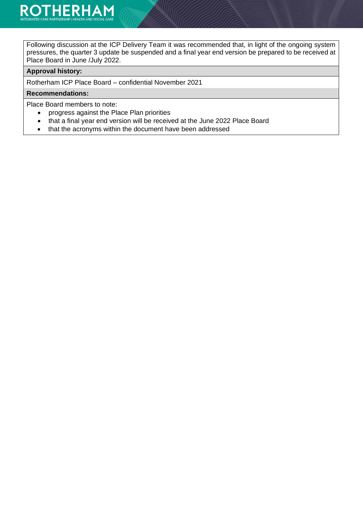Following discussion at the ICP Delivery Team it was recommended that, in light of the ongoing system pressures, the quarter 3 update be suspended and a final year end version be prepared to be received at Place Board in June /July 2022.

#### **Approval history:**

Rotherham ICP Place Board – confidential November 2021

#### **Recommendations:**

Place Board members to note:

- progress against the Place Plan priorities
- that a final year end version will be received at the June 2022 Place Board
- that the acronyms within the document have been addressed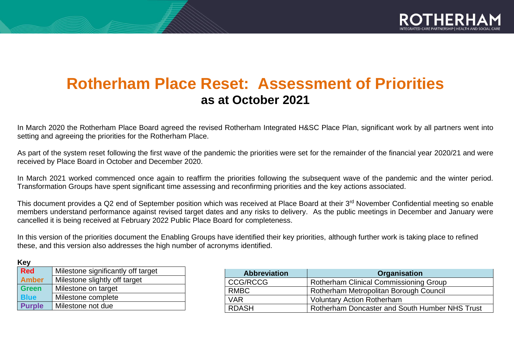

# **Rotherham Place Reset: Assessment of Priorities as at October 2021**

In March 2020 the Rotherham Place Board agreed the revised Rotherham Integrated H&SC Place Plan, significant work by all partners went into setting and agreeing the priorities for the Rotherham Place.

As part of the system reset following the first wave of the pandemic the priorities were set for the remainder of the financial year 2020/21 and were received by Place Board in October and December 2020.

In March 2021 worked commenced once again to reaffirm the priorities following the subsequent wave of the pandemic and the winter period. Transformation Groups have spent significant time assessing and reconfirming priorities and the key actions associated.

This document provides a Q2 end of September position which was received at Place Board at their 3<sup>rd</sup> November Confidential meeting so enable members understand performance against revised target dates and any risks to delivery. As the public meetings in December and January were cancelled it is being received at February 2022 Public Place Board for completeness.

In this version of the priorities document the Enabling Groups have identified their key priorities, although further work is taking place to refined these, and this version also addresses the high number of acronyms identified.

| <b>Key</b>    |                                    |
|---------------|------------------------------------|
| <b>Red</b>    | Milestone significantly off target |
| <b>Amber</b>  | Milestone slightly off target      |
| <b>Green</b>  | Milestone on target                |
| <b>Blue</b>   | Milestone complete                 |
| <b>Purple</b> | Milestone not due                  |

| <b>Abbreviation</b> | <b>Organisation</b>                            |
|---------------------|------------------------------------------------|
| <b>CCG/RCCG</b>     | <b>Rotherham Clinical Commissioning Group</b>  |
| <b>RMBC</b>         | Rotherham Metropolitan Borough Council         |
| <b>VAR</b>          | <b>Voluntary Action Rotherham</b>              |
| <b>RDASH</b>        | Rotherham Doncaster and South Humber NHS Trust |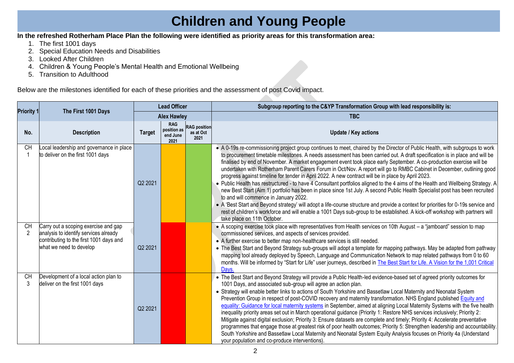# **Children and Young People**

#### **In the refreshed Rotherham Place Plan the following were identified as priority areas for this transformation area:**

- 1. The first 1001 days
- 2. Special Education Needs and Disabilities
- 3. Looked After Children
- 4. Children & Young People's Mental Health and Emotional Wellbeing
- 5. Transition to Adulthood

Below are the milestones identified for each of these priorities and the assessment of post Covid impact.

|                             |                                                                                                                                                     | <b>Lead Officer</b> |                                               |                                          | Subgroup reporting to the C&YP Transformation Group with lead responsibility is:                                                                                                                                                                                                                                                                                                                                                                                                                                                                                                                                                                                                                                                                                                                                                                                                                                                                                                                                                                                                                                                                                                                                                      |
|-----------------------------|-----------------------------------------------------------------------------------------------------------------------------------------------------|---------------------|-----------------------------------------------|------------------------------------------|---------------------------------------------------------------------------------------------------------------------------------------------------------------------------------------------------------------------------------------------------------------------------------------------------------------------------------------------------------------------------------------------------------------------------------------------------------------------------------------------------------------------------------------------------------------------------------------------------------------------------------------------------------------------------------------------------------------------------------------------------------------------------------------------------------------------------------------------------------------------------------------------------------------------------------------------------------------------------------------------------------------------------------------------------------------------------------------------------------------------------------------------------------------------------------------------------------------------------------------|
| <b>Priority 1</b>           | The First 1001 Days                                                                                                                                 |                     | <b>Alex Hawley</b>                            |                                          | <b>TBC</b>                                                                                                                                                                                                                                                                                                                                                                                                                                                                                                                                                                                                                                                                                                                                                                                                                                                                                                                                                                                                                                                                                                                                                                                                                            |
| No.                         | <b>Description</b>                                                                                                                                  | <b>Target</b>       | <b>RAG</b><br>position as<br>end June<br>2021 | <b>RAG</b> position<br>as at Oct<br>2021 | <b>Update / Key actions</b>                                                                                                                                                                                                                                                                                                                                                                                                                                                                                                                                                                                                                                                                                                                                                                                                                                                                                                                                                                                                                                                                                                                                                                                                           |
| <b>CH</b>                   | Local leadership and governance in place<br>to deliver on the first 1001 days                                                                       | Q2 2021             |                                               |                                          | • A 0-19s re-commissioning project group continues to meet, chaired by the Director of Public Health, with subgroups to work<br>to procurement timetable milestones. A needs assessment has been carried out. A draft specification is in place and will be<br>finalised by end of November. A market engagement event took place early September. A co-production exercise will be<br>undertaken with Rotherham Parent Carers Forum in Oct/Nov. A report will go to RMBC Cabinet in December, outlining good<br>progress against timeline for tender in April 2022. A new contract will be in place by April 2023.<br>. Public Health has restructured - to have 4 Consultant portfolios aligned to the 4 aims of the Health and Wellbeing Strategy. A<br>new Best Start (Aim 1) portfolio has been in place since 1st July. A second Public Health Specialist post has been recruited<br>to and will commence in January 2022.<br>• A 'Best Start and Beyond strategy' will adopt a life-course structure and provide a context for priorities for 0-19s service and<br>rest of children's workforce and will enable a 1001 Days sub-group to be established. A kick-off workshop with partners will<br>take place on 11th October. |
| <b>CH</b><br>$\overline{2}$ | Carry out a scoping exercise and gap<br>analysis to identify services already<br>contributing to the first 1001 days and<br>what we need to develop | Q2 2021             |                                               |                                          | • A scoping exercise took place with representatives from Health services on 10th August - a "jamboard" session to map<br>commissioned services, and aspects of services provided.<br>• A further exercise to better map non-healthcare services is still needed.<br>• The Best Start and Beyond Strategy sub-groups will adopt a template for mapping pathways. May be adapted from pathway<br>mapping tool already deployed by Speech, Language and Communication Network to map related pathways from 0 to 60<br>months. Will be informed by "Start for Life" user journeys, described in The Best Start for Life. A Vision for the 1,001 Critical<br>Days.                                                                                                                                                                                                                                                                                                                                                                                                                                                                                                                                                                        |
| <b>CH</b><br>3              | Development of a local action plan to<br>deliver on the first 1001 days                                                                             | Q2 2021             |                                               |                                          | • The Best Start and Beyond Strategy will provide a Public Health-led evidence-based set of agreed priority outcomes for<br>1001 Days, and associated sub-group will agree an action plan.<br>• Strategy will enable better links to actions of South Yorkshire and Bassetlaw Local Maternity and Neonatal System<br>Prevention Group in respect of post-COVID recovery and maternity transformation. NHS England published Equity and<br>equality: Guidance for local maternity systems in September, aimed at aligning Local Maternity Systems with the five health<br>inequality priority areas set out in March operational guidance (Priority 1: Restore NHS services inclusively; Priority 2:<br>Mitigate against digital exclusion; Priority 3: Ensure datasets are complete and timely; Priority 4: Accelerate preventative<br>programmes that engage those at greatest risk of poor health outcomes; Priority 5: Strengthen leadership and accountability.<br>South Yorkshire and Bassetlaw Local Maternity and Neonatal System Equity Analysis focuses on Priority 4a (Understand<br>your population and co-produce interventions).                                                                                         |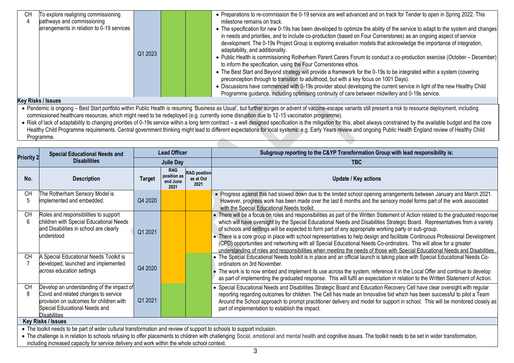| Programme guidance, including optimising continuity of care between midwifery and 0-19s service.                       | pathways and commissioning<br>arrangements in relation to 0-19 services<br>---- | Q1 2023 |  | milestone remains on track.<br>• The specification for new 0-19s has been developed to optimize the ability of the service to adapt to the system and changes<br>in needs and priorities, and to include co-production (based on Four Cornerstones) as an ongoing aspect of service<br>development. The 0-19s Project Group is exploring evaluation models that acknowledge the importance of integration,<br>adaptability, and additionality.<br>• Public Health is commissioning Rotherham Parent Carers Forum to conduct a co-production exercise (October – December)<br>to inform the specification, using the Four Cornerstones ethos.<br>preconception through to transition to adulthood, but with a key focus on 1001 Days).<br>• Discussions have commenced with 0-19s provider about developing the current service in light of the new Healthy Child |
|------------------------------------------------------------------------------------------------------------------------|---------------------------------------------------------------------------------|---------|--|------------------------------------------------------------------------------------------------------------------------------------------------------------------------------------------------------------------------------------------------------------------------------------------------------------------------------------------------------------------------------------------------------------------------------------------------------------------------------------------------------------------------------------------------------------------------------------------------------------------------------------------------------------------------------------------------------------------------------------------------------------------------------------------------------------------------------------------------------------------|
|                                                                                                                        | To explore realigning commissioning<br>CН                                       |         |  | • Preparations to re-commission the 0-19 service are well advanced and on track for Tender to open in Spring 2022. This                                                                                                                                                                                                                                                                                                                                                                                                                                                                                                                                                                                                                                                                                                                                          |
| • The Best Start and Beyond strategy will provide a framework for the 0-19s to be integrated within a system (covering |                                                                                 |         |  |                                                                                                                                                                                                                                                                                                                                                                                                                                                                                                                                                                                                                                                                                                                                                                                                                                                                  |
|                                                                                                                        |                                                                                 |         |  |                                                                                                                                                                                                                                                                                                                                                                                                                                                                                                                                                                                                                                                                                                                                                                                                                                                                  |
|                                                                                                                        |                                                                                 |         |  |                                                                                                                                                                                                                                                                                                                                                                                                                                                                                                                                                                                                                                                                                                                                                                                                                                                                  |

#### **Key Risks / Issues**

• Pandemic is ongoing – Best Start portfolio within Public Health is resuming 'Business as Usual', but further surges or advent of vaccine-escape variants still present a risk to resource deployment, including commissioned healthcare resources, which might need to be redeployed (e.g. currently some disruption due to 12-15 vaccination programme).

• Risk of lack of adaptability to changing priorities of 0-19s service within a long term contract – a well designed specification is the mitigation for this, albeit always constrained by the available budget and the core Healthy Child Programme requirements. Central government thinking might lead to different expectations for local systems: e.g. Early Years review and ongoing Public Health England review of Healthy Child Programme.

|                   | <b>Special Educational Needs and</b>                                                                                                                                                                               | <b>Lead Officer</b> |                                               |                                          | Subgroup reporting to the C&YP Transformation Group with lead responsibility is:                                                                                                                                                                                                                                                                                                                                                                                                                                                                                                                                                                                                                                                                                  |  |  |
|-------------------|--------------------------------------------------------------------------------------------------------------------------------------------------------------------------------------------------------------------|---------------------|-----------------------------------------------|------------------------------------------|-------------------------------------------------------------------------------------------------------------------------------------------------------------------------------------------------------------------------------------------------------------------------------------------------------------------------------------------------------------------------------------------------------------------------------------------------------------------------------------------------------------------------------------------------------------------------------------------------------------------------------------------------------------------------------------------------------------------------------------------------------------------|--|--|
| <b>Priority 2</b> | <b>Disabilities</b>                                                                                                                                                                                                |                     | <b>Julie Day</b>                              |                                          | <b>TBC</b>                                                                                                                                                                                                                                                                                                                                                                                                                                                                                                                                                                                                                                                                                                                                                        |  |  |
| No.               | <b>Description</b>                                                                                                                                                                                                 | <b>Target</b>       | <b>RAG</b><br>position as<br>end June<br>2021 | <b>RAG</b> position<br>as at Oct<br>2021 | <b>Update / Key actions</b>                                                                                                                                                                                                                                                                                                                                                                                                                                                                                                                                                                                                                                                                                                                                       |  |  |
| <b>CH</b>         | The Rotherham Sensory Model is<br>implemented and embedded.                                                                                                                                                        | Q4 2020             |                                               |                                          | . Progress against this had slowed down due to the limited school opening arrangements between January and March 2021.<br>However, progress work has been made over the last 6 months and the sensory model forms part of the work associated<br>with the Special Educational Needs toolkit.                                                                                                                                                                                                                                                                                                                                                                                                                                                                      |  |  |
| <b>CH</b><br>6    | Roles and responsibilities to support<br>children with Special Educational Needs<br>and Disabilities in school are clearly<br>understood                                                                           | Q1 2021             |                                               |                                          | • There will be a focus on roles and responsibilities as part of the Written Statement of Action related to the graduated response<br>which will have oversight by the Special Educational Needs and Disabilities Strategic Board. Representatives from a variety<br>of schools and settings will be expected to form part of any appropriate working party or sub-group.<br>• There is a core group in place with school representatives to help design and facilitate Continuous Professional Development<br>(CPD) opportunities and networking with all Special Educational Needs Co-ordinators. This will allow for a greater<br>understanding of roles and responsibilities when meeting the needs of those with Special Educational Needs and Disabilities. |  |  |
| <b>CH</b>         | A Special Educational Needs Toolkit is<br>developed, launched and implemented<br>across education settings                                                                                                         | Q4 2020             |                                               |                                          | • The Special Educational Needs toolkit is in place and an official launch is taking place with Special Educational Needs Co-<br>ordinators on 3rd November.<br>• The work is to now embed and implement its use across the system, reference it in the Local Offer and continue to develop<br>as part of implementing the graduated response. This will fulfil an expectation in relation to the Written Statement of Action.                                                                                                                                                                                                                                                                                                                                    |  |  |
| <b>CH</b>         | Develop an understanding of the impact of<br>Covid and related changes to service<br>provision on outcomes for children with<br>Special Educational Needs and<br><b>Disabilities</b>                               | Q1 2021             |                                               |                                          | • Special Educational Needs and Disabilities Strategic Board and Education Recovery Cell have clear oversight with regular<br>reporting regarding outcomes for children. The Cell has made an Innovative bid which has been successful to pilot a Team<br>Around the School approach to prompt practitioner delivery and model for support in school. This will be monitored closely as<br>part of implementation to establish the impact.                                                                                                                                                                                                                                                                                                                        |  |  |
|                   | <b>Key Risks / Issues</b>                                                                                                                                                                                          |                     |                                               |                                          |                                                                                                                                                                                                                                                                                                                                                                                                                                                                                                                                                                                                                                                                                                                                                                   |  |  |
|                   | • The toolkit needs to be part of wider cultural transformation and review of support to schools to support inclusion.                                                                                             |                     |                                               |                                          |                                                                                                                                                                                                                                                                                                                                                                                                                                                                                                                                                                                                                                                                                                                                                                   |  |  |
|                   | • The challenge is in relation to schools refusing to offer placements to children with challenging Social, emotional and mental health and cognitive issues. The toolkit needs to be set in wider transformation, |                     |                                               |                                          |                                                                                                                                                                                                                                                                                                                                                                                                                                                                                                                                                                                                                                                                                                                                                                   |  |  |

including increased capacity for service delivery and work within the whole school context.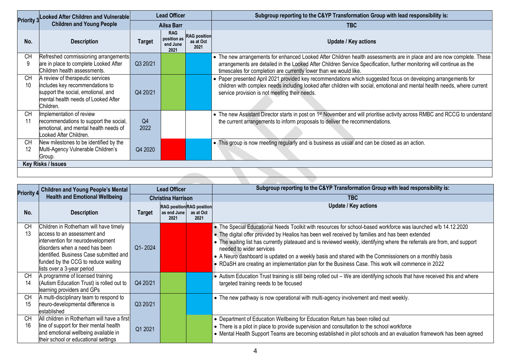| <b>Priority 3</b> | <b>Looked After Children and Vulnerable</b>                                                                                                                   | <b>Lead Officer</b>    |                                               |                                          | Subgroup reporting to the C&YP Transformation Group with lead responsibility is:                                                                                                                                                                                                                                    |  |  |  |
|-------------------|---------------------------------------------------------------------------------------------------------------------------------------------------------------|------------------------|-----------------------------------------------|------------------------------------------|---------------------------------------------------------------------------------------------------------------------------------------------------------------------------------------------------------------------------------------------------------------------------------------------------------------------|--|--|--|
|                   | <b>Children and Young People</b>                                                                                                                              |                        | Ailsa Barr                                    |                                          | TBC                                                                                                                                                                                                                                                                                                                 |  |  |  |
| No.               | <b>Description</b>                                                                                                                                            | <b>Target</b>          | <b>RAG</b><br>position as<br>end June<br>2021 | <b>RAG</b> position<br>as at Oct<br>2021 | Update / Key actions                                                                                                                                                                                                                                                                                                |  |  |  |
| СH<br>9           | Refreshed commissioning arrangements<br>are in place to complete Looked After<br>Children health assessments.                                                 | Q3 20/21               |                                               |                                          | • The new arrangements for enhanced Looked After Children health assessments are in place and are now complete. These<br>arrangements are detailed in the Looked After Children Service Specification, further monitoring will continue as the<br>timescales for completion are currently lower than we would like. |  |  |  |
| <b>CH</b><br>10   | A review of therapeutic services<br>includes key recommendations to<br>support the social, emotional, and<br>mental health needs of Looked After<br>Children. | Q4 20/21               |                                               |                                          | • Paper presented April 2021 provided key recommendations which suggested focus on developing arrangements for<br>children with complex needs including looked after children with social, emotional and mental health needs, where current<br>service provision is not meeting their needs.                        |  |  |  |
| <b>CH</b><br>11   | Implementation of review<br>recommendations to support the social,<br>emotional, and mental health needs of<br>ooked After Children.                          | Q <sub>4</sub><br>2022 |                                               |                                          | • The new Assistant Director starts in post on 1 <sup>st</sup> November and will prioritise activity across RMBC and RCCG to understand<br>the current arrangements to inform proposals to deliver the recommendations.                                                                                             |  |  |  |
| <b>CH</b><br>12   | New milestones to be identified by the<br>Multi-Agency Vulnerable Children's<br>Group.                                                                        | Q4 2020                |                                               |                                          | . This group is now meeting regularly and is business as usual and can be closed as an action.                                                                                                                                                                                                                      |  |  |  |
|                   | <b>Key Risks / Issues</b>                                                                                                                                     |                        |                                               |                                          |                                                                                                                                                                                                                                                                                                                     |  |  |  |
|                   |                                                                                                                                                               |                        |                                               |                                          |                                                                                                                                                                                                                                                                                                                     |  |  |  |
|                   |                                                                                                                                                               |                        |                                               |                                          |                                                                                                                                                                                                                                                                                                                     |  |  |  |

| <b>Priority 4</b> | <b>Children and Young People's Mental</b>                                                                                                                                                                                                                    |               | <b>Lead Officer</b>                                     |                   | Subgroup reporting to the C&YP Transformation Group with lead responsibility is:                                                                                                                                                                                                                                                                                                                                                                                                                                                                                                         |
|-------------------|--------------------------------------------------------------------------------------------------------------------------------------------------------------------------------------------------------------------------------------------------------------|---------------|---------------------------------------------------------|-------------------|------------------------------------------------------------------------------------------------------------------------------------------------------------------------------------------------------------------------------------------------------------------------------------------------------------------------------------------------------------------------------------------------------------------------------------------------------------------------------------------------------------------------------------------------------------------------------------------|
|                   | <b>Health and Emotional Wellbeing</b>                                                                                                                                                                                                                        |               | <b>Christina Harrison</b>                               |                   | <b>TBC</b>                                                                                                                                                                                                                                                                                                                                                                                                                                                                                                                                                                               |
| No.               | <b>Description</b>                                                                                                                                                                                                                                           | <b>Target</b> | <b>RAG position RAG position</b><br>as end June<br>2021 | as at Oct<br>2021 | Update / Key actions                                                                                                                                                                                                                                                                                                                                                                                                                                                                                                                                                                     |
| <b>CH</b><br>13   | Children in Rotherham will have timely<br>access to an assessment and<br>intervention for neurodevelopment<br>disorders when a need has been<br>identified. Business Case submitted and<br>funded by the CCG to reduce waiting<br>lists over a 3-year period | Q1-2024       |                                                         |                   | • The Special Educational Needs Toolkit with resources for school-based workforce was launched w/b 14.12.2020<br>• The digital offer provided by Healios has been well received by families and has been extended<br>• The waiting list has currently plateaued and is reviewed weekly, identifying where the referrals are from, and support<br>needed to wider services<br>• A Neuro dashboard is updated on a weekly basis and shared with the Commissioners on a monthly basis<br>• RDaSH are creating an implementation plan for the Business Case. This work will commence in 2022 |
| <b>CH</b><br>14   | A programme of licensed training<br>(Autism Education Trust) is rolled out to<br>learning providers and GPs                                                                                                                                                  | Q4 20/21      |                                                         |                   | • Autism Education Trust training is still being rolled out – We are identifying schools that have received this and where<br>targeted training needs to be focused                                                                                                                                                                                                                                                                                                                                                                                                                      |
| <b>CH</b><br>15   | A multi-disciplinary team to respond to<br>neuro-developmental difference is<br>established                                                                                                                                                                  | Q3 20/21      |                                                         |                   | • The new pathway is now operational with multi-agency involvement and meet weekly.                                                                                                                                                                                                                                                                                                                                                                                                                                                                                                      |
| <b>CH</b><br>16   | All children in Rotherham will have a first<br>line of support for their mental health<br>and emotional wellbeing available in<br>their school or educational settings                                                                                       | Q1 2021       |                                                         |                   | • Department of Education Wellbeing for Education Return has been rolled out<br>• There is a pilot in place to provide supervision and consultation to the school workforce<br>• Mental Health Support Teams are becoming established in pilot schools and an evaluation framework has been agreed                                                                                                                                                                                                                                                                                       |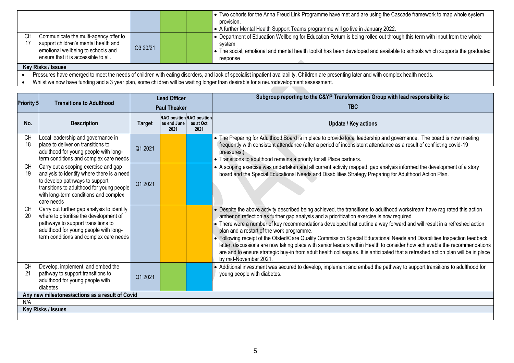|    |                                                                                                                                                             |                    |  |  | • Two cohorts for the Anna Freud Link Programme have met and are using the Cascade framework to map whole system<br>provision.<br>A further Mental Health Support Teams programme will go live in January 2022.                                                              |  |  |  |
|----|-------------------------------------------------------------------------------------------------------------------------------------------------------------|--------------------|--|--|------------------------------------------------------------------------------------------------------------------------------------------------------------------------------------------------------------------------------------------------------------------------------|--|--|--|
| CН | Communicate the multi-agency offer to<br>support children's mental health and<br>emotional wellbeing to schools and<br>ensure that it is accessible to all. | Q3 20/21           |  |  | • Department of Education Wellbeing for Education Return is being rolled out through this term with input from the whole<br>system<br>• The social, emotional and mental health toolkit has been developed and available to schools which supports the graduated<br>response |  |  |  |
|    |                                                                                                                                                             | Key Risks / Issues |  |  |                                                                                                                                                                                                                                                                              |  |  |  |

• Pressures have emerged to meet the needs of children with eating disorders, and lack of specialist inpatient availability. Children are presenting later and with complex health needs.

• Whilst we now have funding and a 3 year plan, some children will be waiting longer than desirable for a neurodevelopment assessment.

|                                                 |                                                                                                                                                                                                                          | <b>Lead Officer</b> |                                                         |                   | Subgroup reporting to the C&YP Transformation Group with lead responsibility is:                                                                                                                                                                                                                                                                                                                                                                                                                                                                                                                                                                                                                                                                                                                                     |  |
|-------------------------------------------------|--------------------------------------------------------------------------------------------------------------------------------------------------------------------------------------------------------------------------|---------------------|---------------------------------------------------------|-------------------|----------------------------------------------------------------------------------------------------------------------------------------------------------------------------------------------------------------------------------------------------------------------------------------------------------------------------------------------------------------------------------------------------------------------------------------------------------------------------------------------------------------------------------------------------------------------------------------------------------------------------------------------------------------------------------------------------------------------------------------------------------------------------------------------------------------------|--|
| <b>Priority 5</b>                               | <b>Transitions to Adulthood</b>                                                                                                                                                                                          | <b>Paul Theaker</b> |                                                         |                   | <b>TBC</b>                                                                                                                                                                                                                                                                                                                                                                                                                                                                                                                                                                                                                                                                                                                                                                                                           |  |
| No.                                             | <b>Description</b>                                                                                                                                                                                                       | <b>Target</b>       | <b>RAG</b> position RAG position<br>as end June<br>2021 | as at Oct<br>2021 | <b>Update / Key actions</b>                                                                                                                                                                                                                                                                                                                                                                                                                                                                                                                                                                                                                                                                                                                                                                                          |  |
| <b>CH</b><br>18                                 | Local leadership and governance in<br>place to deliver on transitions to<br>adulthood for young people with long-<br>term conditions and complex care needs                                                              | Q1 2021             |                                                         |                   | • The Preparing for Adulthood Board is in place to provide local leadership and governance. The board is now meeting<br>frequently with consistent attendance (after a period of inconsistent attendance as a result of conflicting covid-19<br>pressures.)<br>• Transitions to adulthood remains a priority for all Place partners.                                                                                                                                                                                                                                                                                                                                                                                                                                                                                 |  |
| <b>CH</b><br>19                                 | Carry out a scoping exercise and gap<br>analysis to identify where there is a need<br>to develop pathways to support<br>transitions to adulthood for young people<br>with long-term conditions and complex<br>care needs | Q1 2021             |                                                         |                   | • A scoping exercise was undertaken and all current activity mapped, gap analysis informed the development of a story<br>board and the Special Educational Needs and Disabilities Strategy Preparing for Adulthood Action Plan.                                                                                                                                                                                                                                                                                                                                                                                                                                                                                                                                                                                      |  |
| <b>CH</b><br>20                                 | Carry out further gap analysis to identify<br>where to prioritise the development of<br>pathways to support transitions to<br>adulthood for young people with long-<br>term conditions and complex care needs            |                     |                                                         |                   | • Despite the above activity described being achieved, the transitions to adulthood workstream have rag rated this action<br>amber on reflection as further gap analysis and a prioritization exercise is now required<br>• There were a number of key recommendations developed that outline a way forward and will result in a refreshed action<br>plan and a restart of the work programme.<br>• Following receipt of the Ofsted/Care Quality Commission Special Educational Needs and Disabilities Inspection feedback<br>letter, discussions are now taking place with senior leaders within Health to consider how achievable the recommendations<br>are and to ensure strategic buy-in from adult health colleagues. It is anticipated that a refreshed action plan will be in place<br>by mid-November 2021. |  |
| <b>CH</b><br>21                                 | Develop, implement, and embed the<br>pathway to support transitions to<br>adulthood for young people with<br>diabetes                                                                                                    | Q1 2021             |                                                         |                   | • Additional investment was secured to develop, implement and embed the pathway to support transitions to adulthood for<br>young people with diabetes.                                                                                                                                                                                                                                                                                                                                                                                                                                                                                                                                                                                                                                                               |  |
| Any new milestones/actions as a result of Covid |                                                                                                                                                                                                                          |                     |                                                         |                   |                                                                                                                                                                                                                                                                                                                                                                                                                                                                                                                                                                                                                                                                                                                                                                                                                      |  |
| N/A                                             |                                                                                                                                                                                                                          |                     |                                                         |                   |                                                                                                                                                                                                                                                                                                                                                                                                                                                                                                                                                                                                                                                                                                                                                                                                                      |  |
|                                                 | <b>Key Risks / Issues</b>                                                                                                                                                                                                |                     |                                                         |                   |                                                                                                                                                                                                                                                                                                                                                                                                                                                                                                                                                                                                                                                                                                                                                                                                                      |  |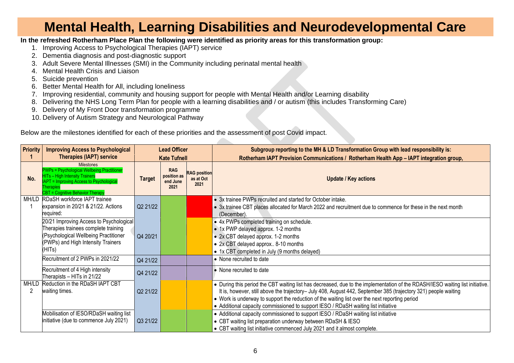## **Mental Health, Learning Disabilities and Neurodevelopmental Care**

**In the refreshed Rotherham Place Plan the following were identified as priority areas for this transformation group:**

- 1. Improving Access to Psychological Therapies (IAPT) service
- 2. Dementia diagnosis and post-diagnostic support
- 3. Adult Severe Mental Illnesses (SMI) in the Community including perinatal mental health
- 4. Mental Health Crisis and Liaison
- 5. Suicide prevention
- 6. Better Mental Health for All, including loneliness
- 7. Improving residential, community and housing support for people with Mental Health and/or Learning disability
- 8. Delivering the NHS Long Term Plan for people with a learning disabilities and / or autism (this includes Transforming Care)
- 9. Delivery of My Front Door transformation programme
- 10. Delivery of Autism Strategy and Neurological Pathway

Below are the milestones identified for each of these priorities and the assessment of post Covid impact.

| <b>Priority</b> | <b>Improving Access to Psychological</b>                                                                                                                                                               | <b>Lead Officer</b> |                                               |                                          | Subgroup reporting to the MH & LD Transformation Group with lead responsibility is:                                                                                                                                                                                                                                                                                                                                                      |
|-----------------|--------------------------------------------------------------------------------------------------------------------------------------------------------------------------------------------------------|---------------------|-----------------------------------------------|------------------------------------------|------------------------------------------------------------------------------------------------------------------------------------------------------------------------------------------------------------------------------------------------------------------------------------------------------------------------------------------------------------------------------------------------------------------------------------------|
|                 | <b>Therapies (IAPT) service</b>                                                                                                                                                                        |                     | <b>Kate Tufnell</b>                           |                                          | Rotherham IAPT Provision Communications / Rotherham Health App - IAPT integration group,                                                                                                                                                                                                                                                                                                                                                 |
| No.             | <b>Milestones</b><br><b>PWPs = Psychological Wellbeing Practitioner</b><br><b>HITs - High Intensity Trainers</b><br><b>APT = Improving Access to Psychological</b><br>CBT = Cognitive Behavior Therapy | <b>Target</b>       | <b>RAG</b><br>position as<br>end June<br>2021 | <b>RAG</b> position<br>as at Oct<br>2021 | <b>Update / Key actions</b>                                                                                                                                                                                                                                                                                                                                                                                                              |
|                 | MH/LD RDaSH workforce IAPT trainee<br>expansion in 20/21 & 21/22. Actions<br>required:                                                                                                                 | Q2 21/22            |                                               |                                          | • 3x trainee PWPs recruited and started for October intake.<br>• 3x trainee CBT places allocated for March 2022 and recruitment due to commence for these in the next month<br>(December).                                                                                                                                                                                                                                               |
|                 | 20/21 Improving Access to Psychological<br>Therapies trainees complete training<br>(Psychological Wellbeing Practitioner<br>(PWPs) and High Intensity Trainers<br>(HITs)                               | Q4 20/21            |                                               |                                          | • 4x PWPs completed training on schedule.<br>• 1x PWP delayed approx. 1-2 months<br>• 2x CBT delayed approx. 1-2 months<br>• 2x CBT delayed approx 8-10 months<br>• 1x CBT completed in July (9 months delayed)                                                                                                                                                                                                                          |
|                 | Recruitment of 2 PWPs in 2021/22                                                                                                                                                                       | Q4 21/22            |                                               |                                          | • None recruited to date                                                                                                                                                                                                                                                                                                                                                                                                                 |
|                 | Recruitment of 4 High intensity<br>Therapists - HITs in 21/22                                                                                                                                          | Q4 21/22            |                                               |                                          | • None recruited to date                                                                                                                                                                                                                                                                                                                                                                                                                 |
| MH/LD<br>2      | Reduction in the RDaSH IAPT CBT<br>waiting times.                                                                                                                                                      | Q2 21/22            |                                               |                                          | • During this period the CBT waiting list has decreased, due to the implementation of the RDASH/IESO waiting list initiative.<br>It is, however, still above the trajectory- July 408, August 442, September 385 (trajectory 321) people waiting<br>• Work is underway to support the reduction of the waiting list over the next reporting period<br>• Additional capacity commissioned to support IESO / RDaSH waiting list initiative |
|                 | Mobilisation of IESO/RDaSH waiting list<br>initiative (due to commence July 2021)                                                                                                                      | Q3 21/22            |                                               |                                          | • Additional capacity commissioned to support IESO / RDaSH waiting list initiative<br>• CBT waiting list preparation underway between RDaSH & IESO<br>• CBT waiting list initiative commenced July 2021 and it almost complete.                                                                                                                                                                                                          |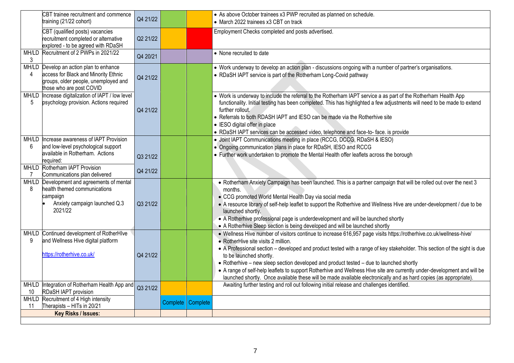|    | CBT trainee recruitment and commence<br>training (21/22 cohort)                                                                                     | Q4 21/22 |          |          | • As above October trainees x3 PWP recruited as planned on schedule.<br>• March 2022 trainees x3 CBT on track                                                                                                                                                                                                                                                                                                                                                                                                                                                                                                                                                  |
|----|-----------------------------------------------------------------------------------------------------------------------------------------------------|----------|----------|----------|----------------------------------------------------------------------------------------------------------------------------------------------------------------------------------------------------------------------------------------------------------------------------------------------------------------------------------------------------------------------------------------------------------------------------------------------------------------------------------------------------------------------------------------------------------------------------------------------------------------------------------------------------------------|
|    | CBT (qualified posts) vacancies<br>recruitment completed or alternative<br>explored - to be agreed with RDaSH                                       | Q2 21/22 |          |          | Employment Checks completed and posts advertised.                                                                                                                                                                                                                                                                                                                                                                                                                                                                                                                                                                                                              |
| 3  | MH/LD Recruitment of 2 PWPs in 2021/22                                                                                                              | Q4 20/21 |          |          | • None recruited to date                                                                                                                                                                                                                                                                                                                                                                                                                                                                                                                                                                                                                                       |
| 4  | MH/LD Develop an action plan to enhance<br>access for Black and Minority Ethnic<br>groups, older people, unemployed and<br>those who are post COVID | Q4 21/22 |          |          | • Work underway to develop an action plan - discussions ongoing with a number of partner's organisations.<br>• RDaSH IAPT service is part of the Rotherham Long-Covid pathway                                                                                                                                                                                                                                                                                                                                                                                                                                                                                  |
| 5  | MH/LD Increase digitalization of IAPT / low level<br>psychology provision. Actions required                                                         | Q4 21/22 |          |          | • Work is underway to include the referral to the Rotherham IAPT service a as part of the Rotherham Health App<br>functionality. Initial testing has been completed. This has highlighted a few adjustments will need to be made to extend<br>further rollout.<br>• Referrals to both RDASH IAPT and IESO can be made via the Rotherhive site<br>• IESO digital offer in place<br>• RDaSH IAPT services can be accessed video, telephone and face-to- face. is provide                                                                                                                                                                                         |
|    | MH/LD Increase awareness of IAPT Provision                                                                                                          |          |          |          | · Joint IAPT Communications meeting in place (RCCG, DCCG, RDaSH & IESO)                                                                                                                                                                                                                                                                                                                                                                                                                                                                                                                                                                                        |
| 6  | and low-level psychological support                                                                                                                 |          |          |          | • Ongoing communication plans in place for RDaSH, IESO and RCCG                                                                                                                                                                                                                                                                                                                                                                                                                                                                                                                                                                                                |
|    | available in Rotherham. Actions<br>required:                                                                                                        | Q3 21/22 |          |          | • Further work undertaken to promote the Mental Health offer leaflets across the borough                                                                                                                                                                                                                                                                                                                                                                                                                                                                                                                                                                       |
| 7  | MH/LD Rotherham IAPT Provision<br>Communications plan delivered                                                                                     | Q4 21/22 |          |          |                                                                                                                                                                                                                                                                                                                                                                                                                                                                                                                                                                                                                                                                |
| 8  | MH/LD Development and agreements of mental<br>health themed communications<br>campaign<br>Anxiety campaign launched Q.3<br>2021/22                  | Q3 21/22 |          |          | • Rotherham Anxiety Campaign has been launched. This is a partner campaign that will be rolled out over the next 3<br>months.<br>• CCG promoted World Mental Health Day via social media<br>• A resource library of self-help leaflet to support the Rotherhive and Wellness Hive are under-development / due to be<br>launched shortly.<br>• A Rotherhive professional page is underdevelopment and will be launched shortly<br>• A Rotherhive Sleep section is being developed and will be launched shortly                                                                                                                                                  |
| 9  | MH/LD Continued development of RotherHIve<br>and Wellness Hive digital platform<br>https://rotherhive.co.uk/                                        | Q4 21/22 |          |          | . Wellness Hive number of visitors continue to increase 616,957 page visits https://rotherhive.co.uk/wellness-hive/<br>• RotherHive site visits 2 million.<br>• A Professional section – developed and product tested with a range of key stakeholder. This section of the sight is due<br>to be launched shortly.<br>• Rotherhive – new sleep section developed and product tested – due to launched shortly<br>• A range of self-help leaflets to support Rotherhive and Wellness Hive site are currently under-development and will be<br>launched shortly. Once available these will be made available electronically and as hard copies (as appropriate). |
|    | MH/LD Integration of Rotherham Health App and                                                                                                       | Q3 21/22 |          |          | Awaiting further testing and roll out following initial release and challenges identified.                                                                                                                                                                                                                                                                                                                                                                                                                                                                                                                                                                     |
| 10 | RDaSH IAPT provision                                                                                                                                |          |          |          |                                                                                                                                                                                                                                                                                                                                                                                                                                                                                                                                                                                                                                                                |
| 11 | MH/LD Recruitment of 4 High intensity<br>Therapists - HITs in 20/21                                                                                 |          | Complete | Complete |                                                                                                                                                                                                                                                                                                                                                                                                                                                                                                                                                                                                                                                                |
|    | Key Risks / Issues:                                                                                                                                 |          |          |          |                                                                                                                                                                                                                                                                                                                                                                                                                                                                                                                                                                                                                                                                |
|    |                                                                                                                                                     |          |          |          |                                                                                                                                                                                                                                                                                                                                                                                                                                                                                                                                                                                                                                                                |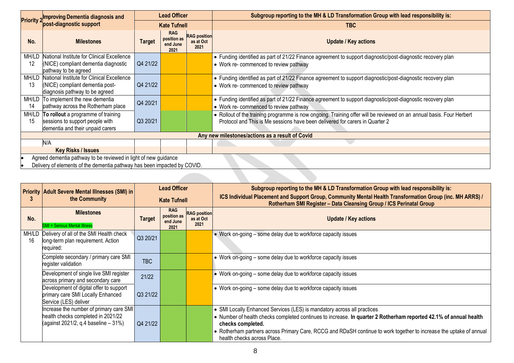| <b>Priority 2</b>         | <b>Improving Dementia diagnosis and</b>                                                                   | <b>Lead Officer</b> |                                               |                                          | Subgroup reporting to the MH & LD Transformation Group with lead responsibility is:                                                                                                                  |
|---------------------------|-----------------------------------------------------------------------------------------------------------|---------------------|-----------------------------------------------|------------------------------------------|------------------------------------------------------------------------------------------------------------------------------------------------------------------------------------------------------|
|                           | post-diagnostic support                                                                                   |                     | <b>Kate Tufnell</b>                           |                                          | <b>TBC</b>                                                                                                                                                                                           |
| No.                       | <b>Milestones</b>                                                                                         | <b>Target</b>       | <b>RAG</b><br>position as<br>end June<br>2021 | <b>RAG</b> position<br>as at Oct<br>2021 | <b>Update / Key actions</b>                                                                                                                                                                          |
| MH/LD                     | National Institute for Clinical Excellence                                                                |                     |                                               |                                          | • Funding identified as part of 21/22 Finance agreement to support diagnostic/post-diagnostic recovery plan                                                                                          |
| 12                        | (NICE) compliant dementia diagnostic<br>pathway to be agreed                                              | Q4 21/22            |                                               |                                          | • Work re- commenced to review pathway                                                                                                                                                               |
| MH/LD                     | National Institute for Clinical Excellence                                                                |                     |                                               |                                          | • Funding identified as part of 21/22 Finance agreement to support diagnostic/post-diagnostic recovery plan                                                                                          |
| 13                        | (NICE) compliant dementia post-<br>diagnosis pathway to be agreed                                         | Q4 21/22            |                                               |                                          | • Work re- commenced to review pathway                                                                                                                                                               |
| MH/LD                     | To implement the new dementia                                                                             | Q4 20/21            |                                               |                                          | • Funding identified as part of 21/22 Finance agreement to support diagnostic/post-diagnostic recovery plan                                                                                          |
| 14                        | pathway across the Rotherham place                                                                        |                     |                                               |                                          | • Work re- commenced to review pathway                                                                                                                                                               |
| MH/LD<br>15               | To rollout a programme of training<br>sessions to support people with<br>dementia and their unpaid carers | Q3 20/21            |                                               |                                          | • Rollout of the training programme is now ongoing. Training offer will be reviewed on an annual basis. Four Herbert<br>Protocol and This is Me sessions have been delivered for carers in Quarter 2 |
|                           |                                                                                                           |                     |                                               |                                          | Any new milestones/actions as a result of Covid                                                                                                                                                      |
|                           | N/A                                                                                                       |                     |                                               |                                          |                                                                                                                                                                                                      |
| <b>Key Risks / Issues</b> |                                                                                                           |                     |                                               |                                          |                                                                                                                                                                                                      |
|                           | Agreed dementia pathway to be reviewed in light of new guidance                                           |                     |                                               |                                          |                                                                                                                                                                                                      |
|                           | Delivery of elements of the dementia pathway has been impacted by COVID.                                  |                     |                                               |                                          |                                                                                                                                                                                                      |

|             | <b>Priority Adult Severe Mental Illnesses (SMI) in</b>                                                                   | <b>Lead Officer</b><br><b>Kate Tufnell</b> |                                               |                                          | Subgroup reporting to the MH & LD Transformation Group with lead responsibility is:                                                                                                                                                                                                                                                                                     |
|-------------|--------------------------------------------------------------------------------------------------------------------------|--------------------------------------------|-----------------------------------------------|------------------------------------------|-------------------------------------------------------------------------------------------------------------------------------------------------------------------------------------------------------------------------------------------------------------------------------------------------------------------------------------------------------------------------|
|             | the Community                                                                                                            |                                            |                                               |                                          | ICS Individual Placement and Support Group, Community Mental Health Transformation Group (inc. MH ARRS) /<br>Rotherham SMI Register - Data Cleansing Group / ICS Perinatal Group                                                                                                                                                                                        |
| No.         | <b>Milestones</b><br><b>SMI</b> = Serious Mental Illness                                                                 | <b>Target</b>                              | <b>RAG</b><br>position as<br>end June<br>2021 | <b>RAG</b> position<br>as at Oct<br>2021 | <b>Update / Key actions</b>                                                                                                                                                                                                                                                                                                                                             |
| MH/LD<br>16 | Delivery of all of the SMI Health check<br>long-term plan requirement. Action<br>required:                               | Q3 20/21                                   |                                               |                                          | • Work on-going – some delay due to workforce capacity issues                                                                                                                                                                                                                                                                                                           |
|             | Complete secondary / primary care SMI<br>register validation                                                             | <b>TBC</b>                                 |                                               |                                          | • Work on-going – some delay due to workforce capacity issues                                                                                                                                                                                                                                                                                                           |
|             | Development of single live SMI register<br>across primary and secondary care                                             | 21/22                                      |                                               |                                          | • Work on-going – some delay due to workforce capacity issues                                                                                                                                                                                                                                                                                                           |
|             | Development of digital offer to support<br>primary care SMI Locally Enhanced<br>Service (LES) deliver                    | Q3 21/22                                   |                                               |                                          | • Work on-going – some delay due to workforce capacity issues                                                                                                                                                                                                                                                                                                           |
|             | Increase the number of primary care SMI<br>health checks completed in 2021/22<br>(against 2021/2, q.4 baseline $-31\%$ ) | Q4 21/22                                   |                                               |                                          | • SMI Locally Enhanced Services (LES) is mandatory across all practices<br>• Number of health checks completed continues to increase. In quarter 2 Rotherham reported 42.1% of annual health<br>checks completed.<br>• Rotherham partners across Primary Care, RCCG and RDaSH continue to work together to increase the uptake of annual<br>health checks across Place. |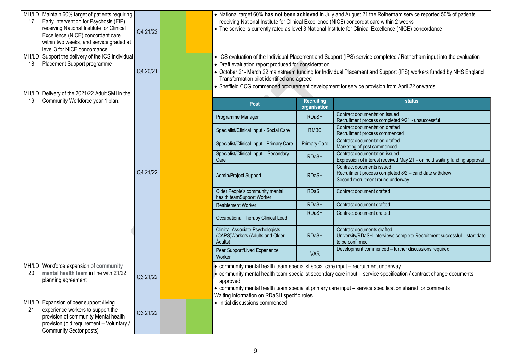| MH/LD<br>17 | Maintain 60% target of patients requiring<br>Early Intervention for Psychosis (EIP)<br>receiving National Institute for Clinical<br>Excellence (NICE) concordant care<br>within two weeks, and service graded at<br>level 3 for NICE concordance | Q4 21/22 |  |                                                                                                                                               |                     | • National target 60% has not been achieved In July and August 21 the Rotherham service reported 50% of patients<br>receiving National Institute for Clinical Excellence (NICE) concordat care within 2 weeks<br>• The service is currently rated as level 3 National Institute for Clinical Excellence (NICE) concordance                    |
|-------------|--------------------------------------------------------------------------------------------------------------------------------------------------------------------------------------------------------------------------------------------------|----------|--|-----------------------------------------------------------------------------------------------------------------------------------------------|---------------------|-----------------------------------------------------------------------------------------------------------------------------------------------------------------------------------------------------------------------------------------------------------------------------------------------------------------------------------------------|
| 18          | MH/LD Support the delivery of the ICS Individual<br>Placement Support programme                                                                                                                                                                  | Q4 20/21 |  | • Draft evaluation report produced for consideration<br>Transformation pilot identified and agreed                                            |                     | • ICS evaluation of the Individual Placement and Support (IPS) service completed / Rotherham input into the evaluation<br>• October 21- March 22 mainstream funding for Individual Placement and Support (IPS) workers funded by NHS England<br>• Sheffield CCG commenced procurement development for service provision from April 22 onwards |
| MH/LD<br>19 | Delivery of the 2021/22 Adult SMI in the<br>Community Workforce year 1 plan.                                                                                                                                                                     |          |  |                                                                                                                                               | <b>Recruiting</b>   | <b>status</b>                                                                                                                                                                                                                                                                                                                                 |
|             |                                                                                                                                                                                                                                                  |          |  | <b>Post</b>                                                                                                                                   | organisation        |                                                                                                                                                                                                                                                                                                                                               |
|             |                                                                                                                                                                                                                                                  |          |  | Programme Manager                                                                                                                             | <b>RDaSH</b>        | Contract documentation issued<br>Recruitment process completed 9/21 - unsuccessful                                                                                                                                                                                                                                                            |
|             |                                                                                                                                                                                                                                                  |          |  | Specialist/Clinical Input - Social Care                                                                                                       | <b>RMBC</b>         | Contract documentation drafted<br>Recruitment process commenced                                                                                                                                                                                                                                                                               |
|             |                                                                                                                                                                                                                                                  |          |  | Specialist/Clinical Input - Primary Care                                                                                                      | <b>Primary Care</b> | Contract documentation drafted<br>Marketing of post commenced                                                                                                                                                                                                                                                                                 |
|             |                                                                                                                                                                                                                                                  |          |  | Specialist/Clinical Input - Secondary<br>Care                                                                                                 | <b>RDaSH</b>        | Contract documentation issued<br>Expression of interest received May 21 - on hold waiting funding approval                                                                                                                                                                                                                                    |
|             |                                                                                                                                                                                                                                                  | Q4 21/22 |  | Admin/Project Support                                                                                                                         | <b>RDaSH</b>        | Contract documents issued<br>Recruitment process completed 8/2 - candidate withdrew<br>Second recruitment round underway                                                                                                                                                                                                                      |
|             |                                                                                                                                                                                                                                                  |          |  | Older People's community mental<br>health teamSupport Worker                                                                                  | <b>RDaSH</b>        | Contract document drafted                                                                                                                                                                                                                                                                                                                     |
|             |                                                                                                                                                                                                                                                  |          |  | <b>Reablement Worker</b>                                                                                                                      | <b>RDaSH</b>        | Contract document drafted                                                                                                                                                                                                                                                                                                                     |
|             |                                                                                                                                                                                                                                                  |          |  | Occupational Therapy Clinical Lead                                                                                                            | <b>RDaSH</b>        | Contract document drafted                                                                                                                                                                                                                                                                                                                     |
|             |                                                                                                                                                                                                                                                  |          |  | <b>Clinical Associate Psychologists</b><br>(CAPS)Workers (Adults and Older<br>Adults)                                                         | <b>RDaSH</b>        | Contract documents drafted<br>University/RDaSH Interviews complete Recruitment successful - start date<br>to be confirmed                                                                                                                                                                                                                     |
|             |                                                                                                                                                                                                                                                  |          |  | Peer Support/Lived Experience<br>Worker                                                                                                       | <b>VAR</b>          | Development commenced - further discussions required                                                                                                                                                                                                                                                                                          |
| MH/LD<br>20 | Workforce expansion of community<br>mental health team in line with 21/22<br>planning agreement                                                                                                                                                  | Q3 21/22 |  | • community mental health team specialist social care input - recruitment underway<br>approved<br>Waiting information on RDaSH specific roles |                     | • community mental health team specialist secondary care input - service specification / contract change documents<br>• community mental health team specialist primary care input - service specification shared for comments                                                                                                                |
| 21          | MH/LD Expansion of peer support /living<br>experience workers to support the<br>provision of community Mental health<br>provision (bid requirement - Voluntary /<br>Community Sector posts)                                                      | Q3 21/22 |  | • Initial discussions commenced                                                                                                               |                     |                                                                                                                                                                                                                                                                                                                                               |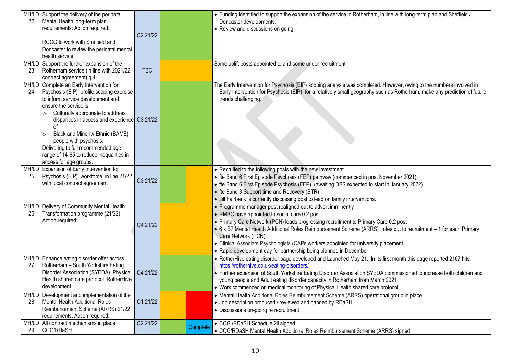| 22 | MH/LD Support the delivery of the perinatal<br>Mental Health long-term plan<br>requirements: Action required:<br>RCCG to work with Sheffield and<br>Doncaster to review the perinatal mental<br>health service                                                                                                                                                                                                           | Q2 21/22   |          | • Funding identified to support the expansion of the service in Rotherham, in line with long-term plan and Sheffield /<br>Doncaster developments.<br>• Review and discussions on going                                                                                                                                                                                                                                                                                                                     |
|----|--------------------------------------------------------------------------------------------------------------------------------------------------------------------------------------------------------------------------------------------------------------------------------------------------------------------------------------------------------------------------------------------------------------------------|------------|----------|------------------------------------------------------------------------------------------------------------------------------------------------------------------------------------------------------------------------------------------------------------------------------------------------------------------------------------------------------------------------------------------------------------------------------------------------------------------------------------------------------------|
| 23 | MH/LD Support the further expansion of the<br>Rotherham service (in line with 2021/22<br>contract agreement) q.4                                                                                                                                                                                                                                                                                                         | <b>TBC</b> |          | Some uplift posts appointed to and some under recruitment                                                                                                                                                                                                                                                                                                                                                                                                                                                  |
| 24 | MH/LD Complete an Early Intervention for<br>Psychosis (EIP) profile scoping exercise<br>to inform service development and<br>ensure the service is<br>Culturally appropriate to address<br>disparities in access and experience Q3 21/22<br>οf<br>Black and Minority Ethnic (BAME)<br>people with psychosis.<br>Delivering to full recommended age<br>range of 14-65 to reduce inequalities in<br>access for age groups. |            |          | The Early Intervention for Psychosis (EIP) scoping analysis was completed. However, owing to the numbers involved in<br>Early Intervention for Psychosis (EIP) for a relatively small geography such as Rotherham, make any prediction of future<br>trends challenging.                                                                                                                                                                                                                                    |
| 25 | MH/LD Expansion of Early Intervention for<br>Psychosis (EIP) workforce, in line 21/22<br>with local contract agreement                                                                                                                                                                                                                                                                                                   | Q3 21/22   |          | • Recruited to the following posts with the new investment<br>• fte Band 6 First Episode Psychosis (FEP) pathway (commenced in post November 2021)<br>• fte Band 6 First Episode Psychosis (FEP) (awaiting DBS expected to start in January 2022)<br>• fte Band 3 Support time and Recovery (STR)<br>. Jill Fairbank is currently discussing post to lead on family interventions.                                                                                                                         |
| 26 | MH/LD Delivery of Community Mental Health<br>Transformation programme (21/22).<br>Action required:                                                                                                                                                                                                                                                                                                                       | Q4 21/22   |          | • Programme manager post realigned out to advert imminently<br>• RMBC have appointed to social care 0.2 post<br>• Primary Care Network (PCN) leads progressing recruitment to Primary Care 0.2 post<br>• 6 x B7 Mental Health Additional Roles Reimbursement Scheme (ARRS) roles out to recruitment - 1 for each Primary<br>Care Network (PCN)<br>• Clinical Associate Psychologists (CAPs workers appointed for university placement<br>• Rapid development day for partnership being planned in December |
| 27 | MH/LD Enhance eating disorder offer across<br>Rotherham - South Yorkshire Eating<br>Disorder Association (SYEDA), Physical   Q4 21/22<br>Health shared care protocol, RotherHive<br>development                                                                                                                                                                                                                          |            |          | • RotherHive eating disorder page developed and Launched May 21. In its first month this page reported 2167 hits.<br>https://rotherhive.co.uk/eating-disorders/<br>• Further expansion of South Yorkshire Eating Disorder Association SYEDA commissioned to increase both children and<br>young people and Adult eating disorder capacity in Rotherham from March 2021<br>• Work commenced on medical monitoring of Physical Health shared care protocol                                                   |
| 28 | MH/LD Development and implementation of the<br><b>Mental Health Additional Roles</b><br>Reimbursement Scheme (ARRS) 21/22<br>requirements. Action required:                                                                                                                                                                                                                                                              | Q1 21/22   |          | • Mental Health Additional Roles Reimbursement Scheme (ARRS) operational group in place<br>• Job description produced / reviewed and banded by RDaSH<br>• Discussions on-going re recruitment                                                                                                                                                                                                                                                                                                              |
| 29 | MH/LD All contract mechanisms in place<br><b>CCG/RDaSH</b>                                                                                                                                                                                                                                                                                                                                                               | Q2 21/22   | Complete | • CCG /RDaSH Schedule 2ii signed<br>• CCG/RDaSH Mental Health Additional Roles Reimbursement Scheme (ARRS) signed                                                                                                                                                                                                                                                                                                                                                                                          |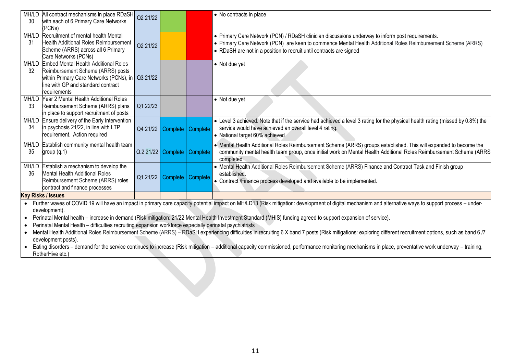| 30                        | MH/LD All contract mechanisms in place RDaSH<br>with each of 6 Primary Care Networks<br>(PCNs)                                                                                                                                                                                                                                                  | Q2 21/22 |                                |  | • No contracts in place                                                                                                                                                                                                                                                                 |  |  |
|---------------------------|-------------------------------------------------------------------------------------------------------------------------------------------------------------------------------------------------------------------------------------------------------------------------------------------------------------------------------------------------|----------|--------------------------------|--|-----------------------------------------------------------------------------------------------------------------------------------------------------------------------------------------------------------------------------------------------------------------------------------------|--|--|
| 31                        | MH/LD Recruitment of mental health Mental<br><b>Health Additional Roles Reimbursement</b><br>Scheme (ARRS) across all 6 Primary<br>Care Networks (PCNs)                                                                                                                                                                                         | Q2 21/22 |                                |  | • Primary Care Network (PCN) / RDaSH clinician discussions underway to inform post requirements.<br>• Primary Care Network (PCN) are keen to commence Mental Health Additional Roles Reimbursement Scheme (ARRS)<br>• RDaSH are not in a position to recruit until contracts are signed |  |  |
| -32                       | MH/LD Embed Mental Health Additional Roles<br>Reimbursement Scheme (ARRS) posts<br>within Primary Care Networks (PCNs), in   Q3 21/22<br>line with GP and standard contract<br>requirements                                                                                                                                                     |          |                                |  | • Not due yet                                                                                                                                                                                                                                                                           |  |  |
| 33                        | MH/LD Year 2 Mental Health Additional Roles<br>Reimbursement Scheme (ARRS) plans<br>in place to support recruitment of posts                                                                                                                                                                                                                    | Q1 22/23 |                                |  | $\bullet$ Not due yet                                                                                                                                                                                                                                                                   |  |  |
| 34                        | MH/LD Ensure delivery of the Early Intervention<br>in psychosis 21/22, in line with LTP<br>requirement. Action required                                                                                                                                                                                                                         |          | Q4 21/22   Complete   Complete |  | • Level 3 achieved. Note that if the service had achieved a level 3 rating for the physical health rating (missed by 0.8%) the<br>service would have achieved an overall level 4 rating.<br>• National target 60% achieved                                                              |  |  |
| 35                        | MH/LD Establish community mental health team<br>group $(q.1)$                                                                                                                                                                                                                                                                                   |          | Q.2 21/22 Complete Complete    |  | • Mental Health Additional Roles Reimbursement Scheme (ARRS) groups established. This will expanded to become the<br>community mental health team group, once initial work on Mental Health Additional Roles Reimbursement Scheme (ARRS<br>completed                                    |  |  |
| 36                        | MH/LD Establish a mechanism to develop the<br><b>Mental Health Additional Roles</b><br>Reimbursement Scheme (ARRS) roles<br>contract and finance processes                                                                                                                                                                                      |          | Q1 21/22 Complete Complete     |  | • Mental Health Additional Roles Reimbursement Scheme (ARRS) Finance and Contract Task and Finish group<br>established.<br>• Contract /Finance process developed and available to be implemented.                                                                                       |  |  |
| <b>Key Risks / Issues</b> |                                                                                                                                                                                                                                                                                                                                                 |          |                                |  |                                                                                                                                                                                                                                                                                         |  |  |
|                           | Further waves of COVID 19 will have an impact in primary care capacity potential impact on MH/LD13 (Risk mitigation: development of digital mechanism and alternative ways to support process - under-<br>development).<br>2. TELAN SELIKS HIS PROSESSION SELIKUPUNG PROPINSI MAMA MEHINDIK KESUA JAMAN KAN HAMPIAN KERAKA SELIKSI SELIKSI KASA |          |                                |  |                                                                                                                                                                                                                                                                                         |  |  |

• Perinatal Mental health – increase in demand (Risk mitigation: 21/22 Mental Health Investment Standard (MHIS) funding agreed to support expansion of service).

• Perinatal Mental Health – difficulties recruiting expansion workforce especially perinatal psychiatrists

• Mental Health Additional Roles Reimbursement Scheme (ARRS) – RDaSH experiencing difficulties in recruiting 6 X band 7 posts (Risk mitigations: exploring different recruitment options, such as band 6 /7 development posts).

• Eating disorders – demand for the service continues to increase (Risk mitigation – additional capacity commissioned, performance monitoring mechanisms in place, preventative work underway – training, RotherHive etc.)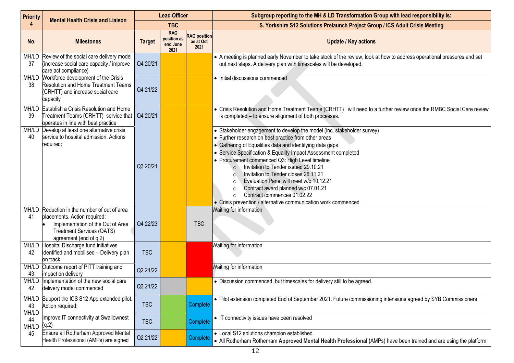| <b>Priority</b>      | <b>Mental Health Crisis and Liaison</b>                                                                                                                                         | <b>Lead Officer</b> |                                               |                                          | Subgroup reporting to the MH & LD Transformation Group with lead responsibility is:                                                                                                                                                                                                                                                                                                                                                                                                                                                                                                                                             |  |
|----------------------|---------------------------------------------------------------------------------------------------------------------------------------------------------------------------------|---------------------|-----------------------------------------------|------------------------------------------|---------------------------------------------------------------------------------------------------------------------------------------------------------------------------------------------------------------------------------------------------------------------------------------------------------------------------------------------------------------------------------------------------------------------------------------------------------------------------------------------------------------------------------------------------------------------------------------------------------------------------------|--|
| 4                    |                                                                                                                                                                                 |                     | <b>TBC</b>                                    |                                          | S. Yorkshire S12 Solutions Prelaunch Project Group / ICS Adult Crisis Meeting                                                                                                                                                                                                                                                                                                                                                                                                                                                                                                                                                   |  |
| No.                  | <b>Milestones</b>                                                                                                                                                               | <b>Target</b>       | <b>RAG</b><br>position as<br>end June<br>2021 | <b>RAG position</b><br>as at Oct<br>2021 | <b>Update / Key actions</b>                                                                                                                                                                                                                                                                                                                                                                                                                                                                                                                                                                                                     |  |
| 37                   | MH/LD Review of the social care delivery model<br>(increase social care capacity / improve<br>care act compliance)                                                              | Q4 20/21            |                                               |                                          | • A meeting is planned early November to take stock of the review, look at how to address operational pressures and set<br>out next steps. A delivery plan with timescales will be developed.                                                                                                                                                                                                                                                                                                                                                                                                                                   |  |
| 38                   | MH/LD Workforce development of the Crisis<br><b>Resolution and Home Treatment Teams</b><br>(CRHTT) and increase social care<br>capacity                                         | Q4 21/22            |                                               |                                          | • Initial discussions commenced                                                                                                                                                                                                                                                                                                                                                                                                                                                                                                                                                                                                 |  |
| 39                   | MH/LD Establish a Crisis Resolution and Home<br>Treatment Teams (CRHTT) service that   Q4 20/21<br>operates in line with best practice                                          |                     |                                               |                                          | • Crisis Resolution and Home Treatment Teams (CRHTT) will need to a further review once the RMBC Social Care review<br>is completed - to ensure alignment of both processes.                                                                                                                                                                                                                                                                                                                                                                                                                                                    |  |
| 40                   | MH/LD Develop at least one alternative crisis<br>service to hospital admission. Actions<br>required:                                                                            | Q3 20/21            |                                               |                                          | • Stakeholder engagement to develop the model (inc. stakeholder survey)<br>• Further research on best practice from other areas<br>• Gathering of Equalities data and identifying data gaps<br>• Service Specification & Equality Impact Assessment completed<br>• Procurement commenced Q3: High Level timeline<br>Invitation to Tender issued 29.10.21<br>$\circ$<br>Invitation to Tender closes 26.11.21<br>Evaluation Panel will meet w/c 10.12.21<br>$\circ$<br>Contract award planned w/c 07.01.21<br>$\circ$<br>Contract commences 01.02.22<br>$\circ$<br>• Crisis prevention / alternative communication work commenced |  |
| 41                   | MH/LD Reduction in the number of out of area<br>placements. Action required:<br>Implementation of the Out of Area<br><b>Treatment Services (OATS)</b><br>agreement (end of q.2) | Q4 22/23            |                                               | <b>TBC</b>                               | Waiting for information                                                                                                                                                                                                                                                                                                                                                                                                                                                                                                                                                                                                         |  |
| 42                   | MH/LD Hospital Discharge fund initiatives<br>identified and mobilised - Delivery plan<br>on track                                                                               | <b>TBC</b>          |                                               |                                          | Waiting for information                                                                                                                                                                                                                                                                                                                                                                                                                                                                                                                                                                                                         |  |
| 43                   | MH/LD Outcome report of PITT training and<br>impact on delivery                                                                                                                 | Q2 21/22            |                                               |                                          | Waiting for information                                                                                                                                                                                                                                                                                                                                                                                                                                                                                                                                                                                                         |  |
| 42                   | MH/LD Implementation of the new social care<br>delivery model commenced                                                                                                         | Q3 21/22            |                                               |                                          | • Discussion commenced, but timescales for delivery still to be agreed.                                                                                                                                                                                                                                                                                                                                                                                                                                                                                                                                                         |  |
| MH/LD<br>43<br>MH/LD | Support the ICS S12 App extended pilot.<br>Action required:                                                                                                                     | <b>TBC</b>          |                                               | Complete                                 | • Pilot extension completed End of September 2021. Future commissioning intensions agreed by SYB Commissioners                                                                                                                                                                                                                                                                                                                                                                                                                                                                                                                  |  |
| 44<br>MH/LD          | Improve IT connectivity at Swallownest<br>(q.2)                                                                                                                                 | <b>TBC</b>          |                                               | Complete                                 | • IT connectivity issues have been resolved                                                                                                                                                                                                                                                                                                                                                                                                                                                                                                                                                                                     |  |
| 45                   | Ensure all Rotherham Approved Mental<br>Health Professional (AMPs) are signed                                                                                                   | Q2 21/22            |                                               | Complete                                 | • Local S12 solutions champion established.<br>• All Rotherham Rotherham Approved Mental Health Professional (AMPs) have been trained and are using the platform                                                                                                                                                                                                                                                                                                                                                                                                                                                                |  |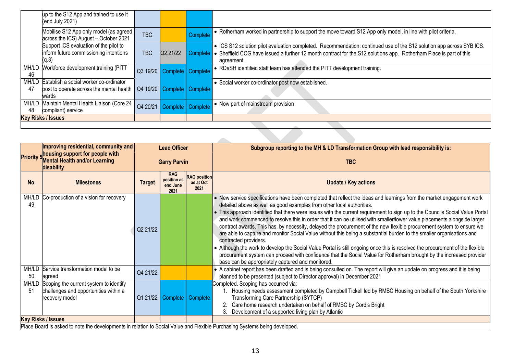|             | up to the S12 App and trained to use it<br>(end July 2021)                                               |            |                                |                   |                                                                                                                                                                                                                                                          |
|-------------|----------------------------------------------------------------------------------------------------------|------------|--------------------------------|-------------------|----------------------------------------------------------------------------------------------------------------------------------------------------------------------------------------------------------------------------------------------------------|
|             | Mobilise S12 App only model (as agreed  <br>across the ICS) August - October 2021                        | <b>TBC</b> |                                | Complete          | • Rotherham worked in partnership to support the move toward S12 App only model, in line with pilot criteria.                                                                                                                                            |
|             | Support ICS evaluation of the pilot to<br>inform future commissioning intentions<br>(q.3)                | <b>TBC</b> | Q2.21/22                       | Complete          | • ICS S12 solution pilot evaluation completed. Recommendation: continued use of the S12 solution app across SYB ICS.<br>• Sheffield CCG have issued a further 12 month contract for the S12 solutions app. Rotherham Place is part of this<br>agreement. |
| MH/LD<br>46 | Workforce development training (PITT                                                                     | Q3 19/20   | Complete   Complete            |                   | • RDaSH identified staff team has attended the PITT development training.                                                                                                                                                                                |
| MH/LD<br>47 | Establish a social worker co-ordinator<br>post to operate across the mental health   Q4 19/20  <br>wards |            | Complete   Complete            |                   | • Social worker co-ordinator post now established.                                                                                                                                                                                                       |
| MH/LD<br>48 | Maintain Mental Health Liaison (Core 24<br>compliant) service                                            | Q4 20/21   |                                | Complete Complete | • Now part of mainstream provision                                                                                                                                                                                                                       |
|             | <b>Key Risks / Issues</b>                                                                                |            |                                |                   |                                                                                                                                                                                                                                                          |
|             |                                                                                                          |            |                                |                   |                                                                                                                                                                                                                                                          |
|             |                                                                                                          |            |                                |                   |                                                                                                                                                                                                                                                          |
|             | Improving residential community and                                                                      |            | $1.22$ $\Delta R_{\text{max}}$ |                   | 45. a fa fha MH 0.1 D.T. ann fainn eilean Oileann a 34. Is e duine na 35.94. Is e<br><b>Outlet and a contract of the Contract State</b>                                                                                                                  |

|             | Improving residential, community and                                                                                       | <b>Lead Officer</b> |                                               |                                          | Subgroup reporting to the MH & LD Transformation Group with lead responsibility is:                                                                                                                                                                                                                                                                                                                                                                                                                                                                                                                                                                                                                                                                                                                                                                                                                                                                                                                                                                 |
|-------------|----------------------------------------------------------------------------------------------------------------------------|---------------------|-----------------------------------------------|------------------------------------------|-----------------------------------------------------------------------------------------------------------------------------------------------------------------------------------------------------------------------------------------------------------------------------------------------------------------------------------------------------------------------------------------------------------------------------------------------------------------------------------------------------------------------------------------------------------------------------------------------------------------------------------------------------------------------------------------------------------------------------------------------------------------------------------------------------------------------------------------------------------------------------------------------------------------------------------------------------------------------------------------------------------------------------------------------------|
|             | <b>Priority 5</b> housing support for people with<br><b>Mental Health and/or Learning</b><br>disability                    | <b>Garry Parvin</b> |                                               |                                          | <b>TBC</b>                                                                                                                                                                                                                                                                                                                                                                                                                                                                                                                                                                                                                                                                                                                                                                                                                                                                                                                                                                                                                                          |
| No.         | <b>Milestones</b>                                                                                                          | <b>Target</b>       | <b>RAG</b><br>position as<br>end June<br>2021 | <b>RAG position</b><br>as at Oct<br>2021 | <b>Update / Key actions</b>                                                                                                                                                                                                                                                                                                                                                                                                                                                                                                                                                                                                                                                                                                                                                                                                                                                                                                                                                                                                                         |
| MH/LD<br>49 | Co-production of a vision for recovery                                                                                     | Q2 21/22            |                                               |                                          | • New service specifications have been completed that reflect the ideas and learnings from the market engagement work<br>detailed above as well as good examples from other local authorities.<br>• This approach identified that there were issues with the current requirement to sign up to the Councils Social Value Portal<br>and work commenced to resolve this in order that it can be utilised with smaller/lower value placements alongside larger<br>contract awards. This has, by necessity, delayed the procurement of the new flexible procurement system to ensure we<br>are able to capture and monitor Social Value without this being a substantial burden to the smaller organisations and<br>contracted providers.<br>• Although the work to develop the Social Value Portal is still ongoing once this is resolved the procurement of the flexible<br>procurement system can proceed with confidence that the Social Value for Rotherham brought by the increased provider<br>base can be appropriately captured and monitored. |
| 50          | MH/LD Service transformation model to be<br>agreed                                                                         | Q4 21/22            |                                               |                                          | • A cabinet report has been drafted and is being consulted on. The report will give an update on progress and it is being<br>planned to be presented (subject to Director approval) in December 2021                                                                                                                                                                                                                                                                                                                                                                                                                                                                                                                                                                                                                                                                                                                                                                                                                                                |
| MH/LD<br>51 | Scoping the current system to identify<br>challenges and opportunities within a<br>recovery model                          |                     |                                               | Q1 21/22 Complete Complete               | Completed. Scoping has occurred via:<br>Housing needs assessment completed by Campbell Tickell led by RMBC Housing on behalf of the South Yorkshire<br>Transforming Care Partnership (SYTCP)<br>Care home research undertaken on behalf of RMBC by Cordis Bright<br>Development of a supported living plan by Atlantic                                                                                                                                                                                                                                                                                                                                                                                                                                                                                                                                                                                                                                                                                                                              |
|             | <b>Key Risks / Issues</b>                                                                                                  |                     |                                               |                                          |                                                                                                                                                                                                                                                                                                                                                                                                                                                                                                                                                                                                                                                                                                                                                                                                                                                                                                                                                                                                                                                     |
|             | Place Board is asked to note the developments in relation to Social Value and Flexible Purchasing Systems being developed. |                     |                                               |                                          |                                                                                                                                                                                                                                                                                                                                                                                                                                                                                                                                                                                                                                                                                                                                                                                                                                                                                                                                                                                                                                                     |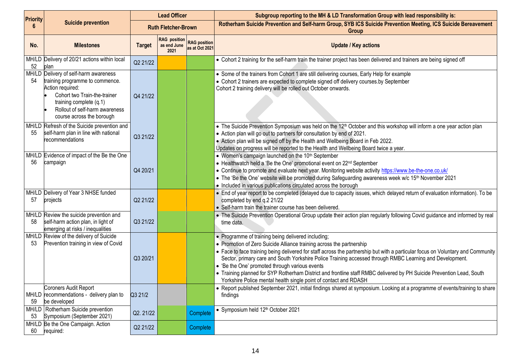| <b>Priority</b> |                                                                                                                                                                                                                        | <b>Lead Officer</b> |                                            |                                       | Subgroup reporting to the MH & LD Transformation Group with lead responsibility is:                                                                                                                                                                                                                                                                                                                                                                                                                                                                                                                                      |
|-----------------|------------------------------------------------------------------------------------------------------------------------------------------------------------------------------------------------------------------------|---------------------|--------------------------------------------|---------------------------------------|--------------------------------------------------------------------------------------------------------------------------------------------------------------------------------------------------------------------------------------------------------------------------------------------------------------------------------------------------------------------------------------------------------------------------------------------------------------------------------------------------------------------------------------------------------------------------------------------------------------------------|
| 6               | <b>Suicide prevention</b>                                                                                                                                                                                              |                     | <b>Ruth Fletcher-Brown</b>                 |                                       | Rotherham Suicide Prevention and Self-harm Group, SYB ICS Suicide Prevention Meeting, ICS Suicide Bereavement<br>Group                                                                                                                                                                                                                                                                                                                                                                                                                                                                                                   |
| No.             | <b>Milestones</b>                                                                                                                                                                                                      | <b>Target</b>       | <b>RAG</b> position<br>as end June<br>2021 | <b>RAG</b> position<br>as at Oct 2021 | <b>Update / Key actions</b>                                                                                                                                                                                                                                                                                                                                                                                                                                                                                                                                                                                              |
| 52              | MH/LD Delivery of 20/21 actions within local<br>plan                                                                                                                                                                   | Q2 21/22            |                                            |                                       | • Cohort 2 training for the self-harm train the trainer project has been delivered and trainers are being signed off                                                                                                                                                                                                                                                                                                                                                                                                                                                                                                     |
| 54              | MH/LD Delivery of self-harm awareness<br>training programme to commence.<br>Action required:<br>Cohort two Train-the-trainer<br>training complete (q.1)<br>Rollout of self-harm awareness<br>course across the borough | Q4 21/22            |                                            |                                       | • Some of the trainers from Cohort 1 are still delivering courses, Early Help for example<br>• Cohort 2 trainers are expected to complete signed off delivery courses.by September<br>Cohort 2 training delivery will be rolled out October onwards.                                                                                                                                                                                                                                                                                                                                                                     |
| 55              | MH/LD Refresh of the Suicide prevention and<br>self-harm plan in line with national<br>recommendations                                                                                                                 | Q3 21/22            |                                            |                                       | • The Suicide Prevention Symposium was held on the 12 <sup>th</sup> October and this workshop will inform a one year action plan<br>• Action plan will go out to partners for consultation by end of 2021.<br>• Action plan will be signed off by the Health and Wellbeing Board in Feb 2022.<br>Updates on progress will be reported to the Health and Wellbeing Board twice a year.                                                                                                                                                                                                                                    |
| 56              | MH/LD Evidence of impact of the Be the One<br>campaign                                                                                                                                                                 | Q4 20/21            |                                            |                                       | • Women's campaign launched on the 10 <sup>th</sup> September<br>• Healthwatch held a 'Be the One' promotional event on 22 <sup>nd</sup> September<br>• Continue to promote and evaluate next year. Monitoring website activity https://www.be-the-one.co.uk/<br>• The 'Be the One' website will be promoted during Safeguarding awareness week w/c 15 <sup>th</sup> November 2021<br>• Included in various publications circulated across the borough                                                                                                                                                                   |
| 57              | MH/LD Delivery of Year 3 NHSE funded<br>projects                                                                                                                                                                       | Q2 21/22            |                                            |                                       | • End of year report to be completed (delayed due to capacity issues, which delayed return of evaluation information). To be<br>completed by end q.2 21/22<br>• Self-harm train the trainer course has been delivered.                                                                                                                                                                                                                                                                                                                                                                                                   |
| 58              | MH/LD Review the suicide prevention and<br>self-harm action plan, in light of<br>emerging at risks / inequalities                                                                                                      | Q3 21/22            |                                            |                                       | . The Suicide Prevention Operational Group update their action plan regularly following Covid quidance and informed by real<br>time data.                                                                                                                                                                                                                                                                                                                                                                                                                                                                                |
| 53              | MH/LD Review of the delivery of Suicide<br>Prevention training in view of Covid                                                                                                                                        | Q3 20/21            |                                            |                                       | • Programme of training being delivered including;<br>• Promotion of Zero Suicide Alliance training across the partnership<br>• Face to face training being delivered for staff across the partnership but with a particular focus on Voluntary and Community<br>Sector, primary care and South Yorkshire Police Training accessed through RMBC Learning and Development.<br>• 'Be the One' promoted through various events<br>• Training planned for SYP Rotherham District and frontline staff RMBC delivered by PH Suicide Prevention Lead, South<br>Yorkshire Police mental health single point of contact and RDASH |
| 59              | Coroners Audit Report<br>MH/LD recommendations - delivery plan to<br>be developed                                                                                                                                      | Q3 21/2             |                                            |                                       | • Report published September 2021, initial findings shared at symposium. Looking at a programme of events/training to share<br>findings                                                                                                                                                                                                                                                                                                                                                                                                                                                                                  |
| 53              | MH/LD Rotherham Suicide prevention<br>Symposium (September 2021)                                                                                                                                                       | Q2.21/22            |                                            | Complete                              | • Symposium held 12 <sup>th</sup> October 2021                                                                                                                                                                                                                                                                                                                                                                                                                                                                                                                                                                           |
| 60              | MH/LD Be the One Campaign. Action<br>required:                                                                                                                                                                         | Q2 21/22            |                                            | Complete                              |                                                                                                                                                                                                                                                                                                                                                                                                                                                                                                                                                                                                                          |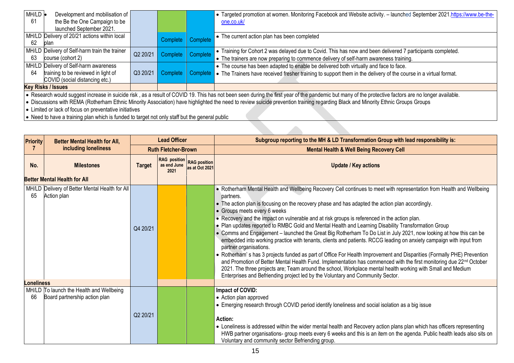| MH/LD<br>61 | Development and mobilisation of<br>the Be the One Campaign to be                                                                                                                                                                                                                                                                                                                                                                                    |          |          |          | • Targeted promotion at women. Monitoring Facebook and Website activity. - launched September 2021.https://www.be-the-<br>one.co.uk/                                                                                       |  |
|-------------|-----------------------------------------------------------------------------------------------------------------------------------------------------------------------------------------------------------------------------------------------------------------------------------------------------------------------------------------------------------------------------------------------------------------------------------------------------|----------|----------|----------|----------------------------------------------------------------------------------------------------------------------------------------------------------------------------------------------------------------------------|--|
| 62          | launched September 2021.<br>MH/LD Delivery of 20/21 actions within local<br>plan                                                                                                                                                                                                                                                                                                                                                                    |          | Complete | Complete | $\bullet$ The current action plan has been completed                                                                                                                                                                       |  |
| 63          | MH/LD Delivery of Self-harm train the trainer<br>course (cohort 2)                                                                                                                                                                                                                                                                                                                                                                                  | Q2 20/21 | Complete | Complete | • Training for Cohort 2 was delayed due to Covid. This has now and been delivered 7 participants completed.<br>• The trainers are now preparing to commence delivery of self-harm awareness training.                      |  |
| 64          | MH/LD Delivery of Self-harm awareness<br>training to be reviewed in light of<br>COVID (social distancing etc.)                                                                                                                                                                                                                                                                                                                                      | Q3 20/21 | Complete |          | • The course has been adapted to enable be delivered both virtually and face to face.<br>Complete $\bullet$ The Trainers have received fresher training to support them in the delivery of the course in a virtual format. |  |
|             | <b>Key Risks / Issues</b>                                                                                                                                                                                                                                                                                                                                                                                                                           |          |          |          |                                                                                                                                                                                                                            |  |
|             | • Research would suggest increase in suicide risk, as a result of COVID 19. This has not been seen during the first year of the pandemic but many of the protective factors are no longer available.<br>• Discussions with REMA (Rotherham Ethnic Minority Association) have highlighted the need to review suicide prevention training regarding Black and Minority Ethnic Groups Groups<br>• Limited or lack of focus on preventative initiatives |          |          |          |                                                                                                                                                                                                                            |  |

• Need to have a training plan which is funded to target not only staff but the general public

| <b>Priority</b>      | <b>Better Mental Health for All,</b>                                      | <b>Lead Officer</b>        |                                            |  | Subgroup reporting to the MH & LD Transformation Group with lead responsibility is:                                                                                                                                                                                                                                                                                                                                                                                                                                                                                                                                                                                                                                                                                                                                                                                                                                                                                                                                                                                                                                                                                                                               |
|----------------------|---------------------------------------------------------------------------|----------------------------|--------------------------------------------|--|-------------------------------------------------------------------------------------------------------------------------------------------------------------------------------------------------------------------------------------------------------------------------------------------------------------------------------------------------------------------------------------------------------------------------------------------------------------------------------------------------------------------------------------------------------------------------------------------------------------------------------------------------------------------------------------------------------------------------------------------------------------------------------------------------------------------------------------------------------------------------------------------------------------------------------------------------------------------------------------------------------------------------------------------------------------------------------------------------------------------------------------------------------------------------------------------------------------------|
| including loneliness |                                                                           | <b>Ruth Fletcher-Brown</b> |                                            |  | <b>Mental Health &amp; Well Being Recovery Cell</b>                                                                                                                                                                                                                                                                                                                                                                                                                                                                                                                                                                                                                                                                                                                                                                                                                                                                                                                                                                                                                                                                                                                                                               |
| No.                  | <b>Milestones</b>                                                         | <b>Target</b>              | RAG position<br>as end June as at Oct 2021 |  | <b>Update / Key actions</b>                                                                                                                                                                                                                                                                                                                                                                                                                                                                                                                                                                                                                                                                                                                                                                                                                                                                                                                                                                                                                                                                                                                                                                                       |
|                      | <b>Better Mental Health for All</b>                                       |                            |                                            |  |                                                                                                                                                                                                                                                                                                                                                                                                                                                                                                                                                                                                                                                                                                                                                                                                                                                                                                                                                                                                                                                                                                                                                                                                                   |
| 65                   | MH/LD Delivery of Better Mental Health for All<br>Action plan             | Q4 20/21                   |                                            |  | • Rotherham Mental Health and Wellbeing Recovery Cell continues to meet with representation from Health and Wellbeing<br>partners.<br>• The action plan is focusing on the recovery phase and has adapted the action plan accordingly.<br>• Groups meets every 6 weeks<br>• Recovery and the impact on vulnerable and at risk groups is referenced in the action plan.<br>. Plan updates reported to RMBC Gold and Mental Health and Learning Disability Transformation Group<br>• Comms and Engagement – launched the Great Big Rotherham To Do List in July 2021, now looking at how this can be<br>embedded into working practice with tenants, clients and patients. RCCG leading on anxiety campaign with input from<br>partner organisations.<br>• Rotherham's has 3 projects funded as part of Office For Health Improvement and Disparities (Formally PHE) Prevention<br>and Promotion of Better Mental Health Fund. Implementation has commenced with the first monitoring due 22 <sup>nd</sup> October<br>2021. The three projects are; Team around the school, Workplace mental health working with Small and Medium<br>Enterprises and Befriending project led by the Voluntary and Community Sector. |
| <b>Loneliness</b>    |                                                                           |                            |                                            |  |                                                                                                                                                                                                                                                                                                                                                                                                                                                                                                                                                                                                                                                                                                                                                                                                                                                                                                                                                                                                                                                                                                                                                                                                                   |
| 66                   | MH/LD To launch the Health and Wellbeing<br>Board partnership action plan | Q2 20/21                   |                                            |  | Impact of COVID:<br>• Action plan approved<br>• Emerging research through COVID period identify loneliness and social isolation as a big issue<br>Action:<br>• Loneliness is addressed within the wider mental health and Recovery action plans plan which has officers representing<br>HWB partner organisations- group meets every 6 weeks and this is an item on the agenda. Public health leads also sits on<br>Voluntary and community sector Befriending group.                                                                                                                                                                                                                                                                                                                                                                                                                                                                                                                                                                                                                                                                                                                                             |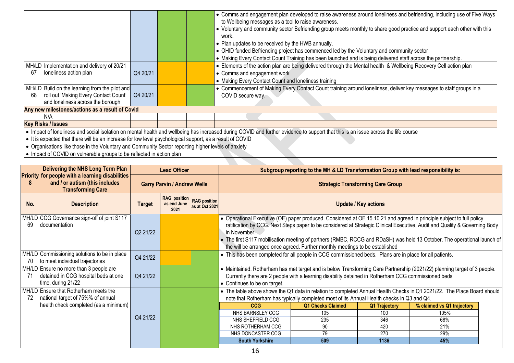|    |                                                                                                           |          | • Comms and engagement plan developed to raise awareness around loneliness and befriending, including use of Five Ways<br>to Wellbeing messages as a tool to raise awareness.      |
|----|-----------------------------------------------------------------------------------------------------------|----------|------------------------------------------------------------------------------------------------------------------------------------------------------------------------------------|
|    |                                                                                                           |          | • Voluntary and community sector Befriending group meets monthly to share good practice and support each other with this<br>work.                                                  |
|    |                                                                                                           |          | • Plan updates to be received by the HWB annually.                                                                                                                                 |
|    |                                                                                                           |          | • OHID funded Befriending project has commenced led by the Voluntary and community sector                                                                                          |
|    |                                                                                                           |          | • Making Every Contact Count Training has been launched and is being delivered staff across the partnership.                                                                       |
|    | MH/LD Implementation and delivery of 20/21                                                                |          | • Elements of the action plan are being delivered through the Mental health & Wellbeing Recovery Cell action plan                                                                  |
| 67 | Ioneliness action plan                                                                                    | Q4 20/21 | • Comms and engagement work                                                                                                                                                        |
|    |                                                                                                           |          | • Making Every Contact Count and loneliness training                                                                                                                               |
|    | MH/LD Build on the learning from the pilot and                                                            |          | • Commencement of Making Every Contact Count training around loneliness, deliver key messages to staff groups in a                                                                 |
| 68 | roll out 'Making Every Contact Count'                                                                     | Q4 20/21 | COVID secure way.                                                                                                                                                                  |
|    | and loneliness across the borough                                                                         |          |                                                                                                                                                                                    |
|    | Any new milestones/actions as a result of Covid                                                           |          |                                                                                                                                                                                    |
|    | N/A                                                                                                       |          |                                                                                                                                                                                    |
|    | <b>Key Risks / Issues</b>                                                                                 |          |                                                                                                                                                                                    |
|    |                                                                                                           |          | • Impact of loneliness and social isolation on mental health and wellbeing has increased during COVID and further evidence to support that this is an issue across the life course |
|    | • It is expected that there will be an increase for low level psychological support, as a result of COVID |          |                                                                                                                                                                                    |
|    | • Organisations like those in the Voluntary and Community Sector reporting higher levels of anxiety       |          |                                                                                                                                                                                    |
|    | $\bullet$ Impact of COVID on vulnarable groups to be reflected in action plan                             |          |                                                                                                                                                                                    |

| ● Impact of COVID on vulnerable groups to be reflected in action plan |
|-----------------------------------------------------------------------|
|                                                                       |

|     | Delivering the NHS Long Term Plan                                                                                     | <b>Lead Officer</b>                |                                                         |                | Subgroup reporting to the MH & LD Transformation Group with lead responsibility is:                                                                                                                                                                                                                                                              |                                                                                                     |               |                                                                                                                            |  |  |
|-----|-----------------------------------------------------------------------------------------------------------------------|------------------------------------|---------------------------------------------------------|----------------|--------------------------------------------------------------------------------------------------------------------------------------------------------------------------------------------------------------------------------------------------------------------------------------------------------------------------------------------------|-----------------------------------------------------------------------------------------------------|---------------|----------------------------------------------------------------------------------------------------------------------------|--|--|
| 8   | <b>Priority for people with a learning disabilities</b><br>and / or autism (this includes<br><b>Transforming Care</b> | <b>Garry Parvin / Andrew Wells</b> |                                                         |                | <b>Strategic Transforming Care Group</b>                                                                                                                                                                                                                                                                                                         |                                                                                                     |               |                                                                                                                            |  |  |
| No. | <b>Description</b>                                                                                                    | <b>Target</b>                      | <b>RAG</b> position RAG position<br>as end June<br>2021 | as at Oct 2021 |                                                                                                                                                                                                                                                                                                                                                  | <b>Update / Key actions</b>                                                                         |               |                                                                                                                            |  |  |
| 69  | MH/LD CCG Governance sign-off of joint S117<br>documentation                                                          | Q2 21/22                           |                                                         |                | • Operational Executive (OE) paper produced. Considered at OE 15.10.21 and agreed in principle subject to full policy<br>in November.<br>• The first S117 mobilisation meeting of partners (RMBC, RCCG and RDaSH) was held 13 October. The operational launch of<br>the will be arranged once agreed. Further monthly meetings to be established |                                                                                                     |               | ratification by CCG. Next Steps paper to be considered at Strategic Clinical Executive, Audit and Quality & Governing Body |  |  |
| 70  | MH/LD Commissioning solutions to be in place<br>to meet individual trajectories                                       | Q4 21/22                           |                                                         |                | • This has been completed for all people in CCG commissioned beds. Plans are in place for all patients.                                                                                                                                                                                                                                          |                                                                                                     |               |                                                                                                                            |  |  |
| -71 | MH/LD Ensure no more than 3 people are<br>detained in CCG hospital beds at one<br>time, during 21/22                  | Q4 21/22                           |                                                         |                | • Maintained. Rotherham has met target and is below Transforming Care Partnership (2021/22) planning target of 3 people.<br>• Continues to be on target.                                                                                                                                                                                         | Currently there are 2 people with a learning disability detained in Rotherham CCG commissioned beds |               |                                                                                                                            |  |  |
| 72  | MH/LD Ensure that Rotherham meets the<br>national target of 75%% of annual                                            |                                    |                                                         |                | • The table above shows the Q1 data in relation to completed Annual Health Checks in Q1 2021/22. The Place Board should                                                                                                                                                                                                                          | note that Rotherham has typically completed most of its Annual Health checks in Q3 and Q4.          |               |                                                                                                                            |  |  |
|     | health check completed (as a minimum)                                                                                 |                                    |                                                         |                | <b>CCG</b>                                                                                                                                                                                                                                                                                                                                       | <b>Q1 Checks Claimed</b>                                                                            | Q1 Trajectory | % claimed vs Q1 trajectory                                                                                                 |  |  |
|     |                                                                                                                       | Q4 21/22                           |                                                         |                | NHS BARNSLEY CCG                                                                                                                                                                                                                                                                                                                                 | 105                                                                                                 | 100           | 105%                                                                                                                       |  |  |
|     |                                                                                                                       |                                    |                                                         |                | NHS SHEFFIELD CCG                                                                                                                                                                                                                                                                                                                                | 235                                                                                                 | 346           | 68%                                                                                                                        |  |  |
|     |                                                                                                                       |                                    |                                                         |                | NHS ROTHERHAM CCG                                                                                                                                                                                                                                                                                                                                | 90                                                                                                  | 420           | 21%                                                                                                                        |  |  |
|     |                                                                                                                       |                                    |                                                         |                | NHS DONCASTER CCG                                                                                                                                                                                                                                                                                                                                | 79                                                                                                  | 270           | 29%                                                                                                                        |  |  |
|     |                                                                                                                       |                                    |                                                         |                | <b>South Yorkshire</b>                                                                                                                                                                                                                                                                                                                           | 509                                                                                                 | 1136          | 45%                                                                                                                        |  |  |
|     |                                                                                                                       |                                    |                                                         |                |                                                                                                                                                                                                                                                                                                                                                  |                                                                                                     |               |                                                                                                                            |  |  |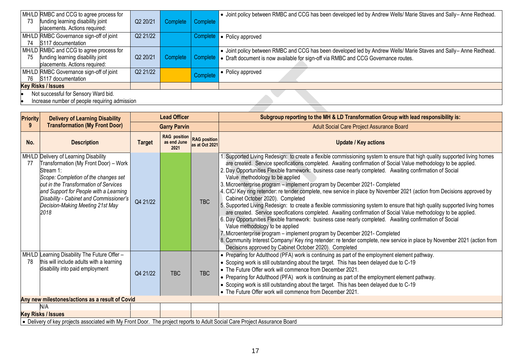| 73 | MH/LD RMBC and CCG to agree process for<br>funding learning disability joint<br>placements. Actions required: | Q2 20/21 | Complete | Complete | • Joint policy between RMBC and CCG has been developed led by Andrew Wells/ Marie Staves and Sally- Anne Redhead.                                                                                                |  |  |
|----|---------------------------------------------------------------------------------------------------------------|----------|----------|----------|------------------------------------------------------------------------------------------------------------------------------------------------------------------------------------------------------------------|--|--|
| 74 | MH/LD RMBC Governance sign-off of joint<br>S117 documentation                                                 | Q2 21/22 |          |          | Complete • Policy approved                                                                                                                                                                                       |  |  |
| 75 | MH/LD RMBC and CCG to agree process for<br>funding learning disability joint<br>placements. Actions required: | Q2 20/21 | Complete |          | • Joint policy between RMBC and CCG has been developed led by Andrew Wells/ Marie Staves and Sally– Anne Redhead.<br>Complete • Draft document is now available for sign-off via RMBC and CCG Governance routes. |  |  |
| 76 | MH/LD RMBC Governance sign-off of joint<br>S117 documentation                                                 | Q2 21/22 |          | Complete | • Policy approved                                                                                                                                                                                                |  |  |
|    | <b>Key Risks / Issues</b>                                                                                     |          |          |          |                                                                                                                                                                                                                  |  |  |
|    | Not successful for Sensory Ward bid.<br>Increase number of people requiring admission                         |          |          |          |                                                                                                                                                                                                                  |  |  |

• Increase number of people requiring admission 

| <b>Priority</b> | <b>Delivery of Learning Disability</b>                                                                                                                                                                                                                                                                        |                     | <b>Lead Officer</b>                        |                                       | Subgroup reporting to the MH & LD Transformation Group with lead responsibility is:                                                                                                                                                                                                                                                                                                                                                                                                                                                                                                                                                                                                                                                                                                                                                                                                                                                                                                                                                                                                                                                                                                                                                                                                                        |  |
|-----------------|---------------------------------------------------------------------------------------------------------------------------------------------------------------------------------------------------------------------------------------------------------------------------------------------------------------|---------------------|--------------------------------------------|---------------------------------------|------------------------------------------------------------------------------------------------------------------------------------------------------------------------------------------------------------------------------------------------------------------------------------------------------------------------------------------------------------------------------------------------------------------------------------------------------------------------------------------------------------------------------------------------------------------------------------------------------------------------------------------------------------------------------------------------------------------------------------------------------------------------------------------------------------------------------------------------------------------------------------------------------------------------------------------------------------------------------------------------------------------------------------------------------------------------------------------------------------------------------------------------------------------------------------------------------------------------------------------------------------------------------------------------------------|--|
| 9               | <b>Transformation (My Front Door)</b>                                                                                                                                                                                                                                                                         | <b>Garry Parvin</b> |                                            |                                       | Adult Social Care Project Assurance Board                                                                                                                                                                                                                                                                                                                                                                                                                                                                                                                                                                                                                                                                                                                                                                                                                                                                                                                                                                                                                                                                                                                                                                                                                                                                  |  |
| No.             | <b>Description</b>                                                                                                                                                                                                                                                                                            | <b>Target</b>       | <b>RAG</b> position<br>as end June<br>2021 | <b>RAG</b> position<br>as at Oct 2021 | <b>Update / Key actions</b>                                                                                                                                                                                                                                                                                                                                                                                                                                                                                                                                                                                                                                                                                                                                                                                                                                                                                                                                                                                                                                                                                                                                                                                                                                                                                |  |
| 77              | MH/LD Delivery of Learning Disability<br>Transformation (My Front Door) – Work<br>Stream 1:<br>Scope: Completion of the changes set<br>out in the Transformation of Services<br>and Support for People with a Learning<br>Disability - Cabinet and Commissioner's<br>Decision-Making Meeting 21st May<br>2018 | Q4 21/22            |                                            | <b>TBC</b>                            | Supported Living Redesign: to create a flexible commissioning system to ensure that high quality supported living homes<br>are created. Service specifications completed. Awaiting confirmation of Social Value methodology to be applied.<br>2. Day Opportunities Flexible framework: business case nearly completed. Awaiting confirmation of Social<br>Value methodology to be applied<br>3. Microenterprise program - implement program by December 2021- Completed<br>4. CIC/ Key ring retender: re tender complete, new service in place by November 2021 (action from Decisions approved by<br>Cabinet October 2020). Completed<br>5. Supported Living Redesign: to create a flexible commissioning system to ensure that high quality supported living homes<br>are created. Service specifications completed. Awaiting confirmation of Social Value methodology to be applied.<br>6. Day Opportunities Flexible framework: business case nearly completed. Awaiting confirmation of Social<br>Value methodology to be applied<br>7. Microenterprise program - implement program by December 2021- Completed<br>8. Community Interest Company/ Key ring retender: re tender complete, new service in place by November 2021 (action from<br>Decisions approved by Cabinet October 2020). Completed |  |
| 78              | MH/LD Learning Disability The Future Offer -<br>this will include adults with a learning<br>disability into paid employment                                                                                                                                                                                   | Q4 21/22            | <b>TBC</b>                                 | <b>TBC</b>                            | • Preparing for Adulthood (PFA) work is continuing as part of the employment element pathway.<br>• Scoping work is still outstanding about the target. This has been delayed due to C-19<br>• The Future Offer work will commence from December 2021.<br>• Preparing for Adulthood (PFA) work is continuing as part of the employment element pathway.<br>• Scoping work is still outstanding about the target. This has been delayed due to C-19<br>• The Future Offer work will commence from December 2021.                                                                                                                                                                                                                                                                                                                                                                                                                                                                                                                                                                                                                                                                                                                                                                                             |  |
|                 | Any new milestones/actions as a result of Covid                                                                                                                                                                                                                                                               |                     |                                            |                                       |                                                                                                                                                                                                                                                                                                                                                                                                                                                                                                                                                                                                                                                                                                                                                                                                                                                                                                                                                                                                                                                                                                                                                                                                                                                                                                            |  |
|                 | N/A                                                                                                                                                                                                                                                                                                           |                     |                                            |                                       |                                                                                                                                                                                                                                                                                                                                                                                                                                                                                                                                                                                                                                                                                                                                                                                                                                                                                                                                                                                                                                                                                                                                                                                                                                                                                                            |  |
|                 | Key Risks / Issues                                                                                                                                                                                                                                                                                            |                     |                                            |                                       |                                                                                                                                                                                                                                                                                                                                                                                                                                                                                                                                                                                                                                                                                                                                                                                                                                                                                                                                                                                                                                                                                                                                                                                                                                                                                                            |  |
|                 | • Delivery of key projects associated with My Front Door. The project reports to Adult Social Care Project Assurance Board                                                                                                                                                                                    |                     |                                            |                                       |                                                                                                                                                                                                                                                                                                                                                                                                                                                                                                                                                                                                                                                                                                                                                                                                                                                                                                                                                                                                                                                                                                                                                                                                                                                                                                            |  |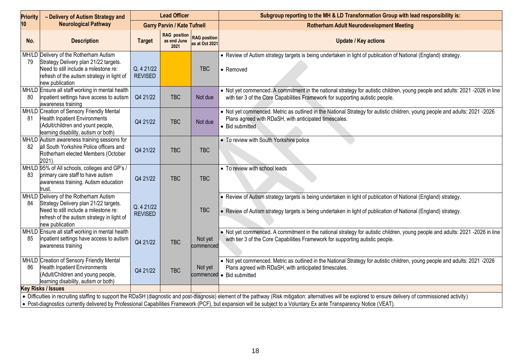| Priority | - Delivery of Autism Strategy and                                                                                                                                                         | <b>Lead Officer</b>          |                                            |                                       | Subgroup reporting to the MH & LD Transformation Group with lead responsibility is:                                                                                                                                                                                                                                                                                                  |  |  |
|----------|-------------------------------------------------------------------------------------------------------------------------------------------------------------------------------------------|------------------------------|--------------------------------------------|---------------------------------------|--------------------------------------------------------------------------------------------------------------------------------------------------------------------------------------------------------------------------------------------------------------------------------------------------------------------------------------------------------------------------------------|--|--|
| 10       | <b>Neurological Pathway</b>                                                                                                                                                               |                              | <b>Garry Parvin / Kate Tufnell</b>         |                                       | <b>Rotherham Adult Neurodevelopment Meeting</b>                                                                                                                                                                                                                                                                                                                                      |  |  |
| No.      | <b>Description</b>                                                                                                                                                                        | <b>Target</b>                | <b>RAG</b> position<br>as end June<br>2021 | <b>RAG position</b><br>as at Oct 2021 | <b>Update / Key actions</b>                                                                                                                                                                                                                                                                                                                                                          |  |  |
|          | MH/LD Delivery of the Rotherham Autism<br>Strategy Delivery plan 21/22 targets.<br>Need to still include a milestone re:<br>refresh of the autism strategy in light of<br>new publication | Q. 4 21/22<br><b>REVISED</b> |                                            | <b>TBC</b>                            | • Review of Autism strategy targets is being undertaken in light of publication of National (England) strategy.<br>• Removed                                                                                                                                                                                                                                                         |  |  |
| 80       | MH/LD Ensure all staff working in mental health<br>inpatient settings have access to autism<br>awareness training                                                                         | Q4 21/22                     | <b>TBC</b>                                 | Not due                               | • Not yet commenced. A commitment in the national strategy for autistic children, young people and adults: 2021 -2026 in line<br>with tier 3 of the Core Capabilities Framework for supporting autistic people.                                                                                                                                                                      |  |  |
| 81       | MH/LD Creation of Sensory Friendly Mental<br><b>Health Inpatient Environments</b><br>(Adult/children and yount people,<br>learning disability, autism or both)                            | Q4 21/22                     | <b>TBC</b>                                 | Not due                               | • Not yet commenced. Metric as outlined in the National Strategy for autistic children, young people and adults: 2021 -2026<br>Plans agreed with RDaSH, with anticipated timescales.<br>• Bid submitted                                                                                                                                                                              |  |  |
| 82.      | MH/LD Autism awareness training sessions for<br>all South Yorkshire Police officers and<br>Rotherham elected Members (October<br>2021)                                                    | Q4 21/22                     | <b>TBC</b>                                 | <b>TBC</b>                            | • To review with South Yorkshire police                                                                                                                                                                                                                                                                                                                                              |  |  |
| 83       | MH/LD 95% of All schools, colleges and GP's /<br>primary care staff to have autism<br>awareness training. Autism education<br>trust.                                                      | Q4 21/22                     | <b>TBC</b>                                 | <b>TBC</b>                            | • To review with school leads                                                                                                                                                                                                                                                                                                                                                        |  |  |
| 84       | MH/LD Delivery of the Rotherham Autism<br>Strategy Delivery plan 21/22 targets.<br>Need to still include a milestone re:<br>refresh of the autism strategy in light of<br>new publication | Q. 4 21/22<br><b>REVISED</b> |                                            | <b>TBC</b>                            | . Review of Autism strategy targets is being undertaken in light of publication of National (England) strategy.<br>• Review of Autism strategy targets is being undertaken in light of publication of National (England) strategy.                                                                                                                                                   |  |  |
| 85       | MH/LD Ensure all staff working in mental health<br>inpatient settings have access to autism<br>awareness training                                                                         | Q4 21/22                     | <b>TBC</b>                                 | Not yet<br>commenced                  | • Not yet commenced. A commitment in the national strategy for autistic children, young people and adults: 2021 -2026 in line<br>with tier 3 of the Core Capabilities Framework for supporting autistic people.                                                                                                                                                                      |  |  |
| 86       | MH/LD Creation of Sensory Friendly Mental<br><b>Health Inpatient Environments</b><br>(Adult/Children and young people,<br>learning disability, autism or both)                            | Q4 21/22                     | <b>TBC</b>                                 | Not yet<br>commenced                  | • Not yet commenced. Metric as outlined in the National Strategy for autistic children, young people and adults: 2021 -2026<br>Plans agreed with RDaSH, with anticipated timescales.<br>• Bid submitted                                                                                                                                                                              |  |  |
|          | <b>Key Risks / Issues</b>                                                                                                                                                                 |                              |                                            |                                       |                                                                                                                                                                                                                                                                                                                                                                                      |  |  |
|          |                                                                                                                                                                                           |                              |                                            |                                       | • Difficulties in recruiting staffing to support the RDaSH (diagnostic and post-diagnosis) element of the pathway (Risk mitigation: alternatives will be explored to ensure delivery of commissioned activity)<br>Dest disgnessing ourrently delivered by Drefessional Canabilities Eremoyerk (DCE) byt overassion will be oubject to a Valuntery Ex ante Transporonay Notice (VEAT) |  |  |

e Post-diagnostics currently delivered by Professional Capabilities Framework (PCF), but expansion will be subject to a Voluntary Ex ante Transparency Notice (VEAT).

**I**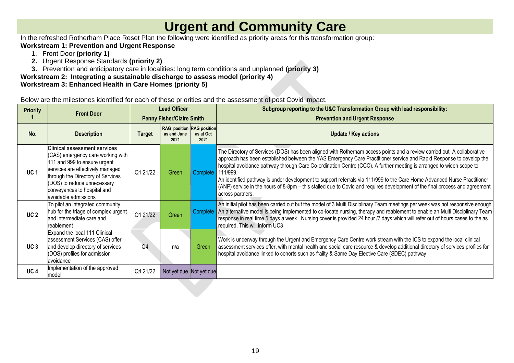## **Urgent and Community Care**

In the refreshed Rotherham Place Reset Plan the following were identified as priority areas for this transformation group:

#### **Workstream 1: Prevention and Urgent Response**

- 1. Front Door **(priority 1)**
- **2.** Urgent Response Standards **(priority 2)**
- **3.** Prevention and anticipatory care in localities: long term conditions and unplanned **(priority 3)**

**Workstream 2: Integrating a sustainable discharge to assess model (priority 4)**

### **Workstream 3: Enhanced Health in Care Homes (priority 5)**

Below are the milestones identified for each of these priorities and the assessment of post Covid impact.

| <b>Priority</b> | <b>Front Door</b>                                                                                                                                                                                                                                                | <b>Lead Officer</b> |                                                         |                   | Subgroup reporting to the U&C Transformation Group with lead responsibility:                                                                                                                                                                                                                                                                                                                                                                                                                                                                                                                                                                         |  |
|-----------------|------------------------------------------------------------------------------------------------------------------------------------------------------------------------------------------------------------------------------------------------------------------|---------------------|---------------------------------------------------------|-------------------|------------------------------------------------------------------------------------------------------------------------------------------------------------------------------------------------------------------------------------------------------------------------------------------------------------------------------------------------------------------------------------------------------------------------------------------------------------------------------------------------------------------------------------------------------------------------------------------------------------------------------------------------------|--|
|                 |                                                                                                                                                                                                                                                                  |                     | <b>Penny Fisher/Claire Smith</b>                        |                   | <b>Prevention and Urgent Response</b>                                                                                                                                                                                                                                                                                                                                                                                                                                                                                                                                                                                                                |  |
| No.             | <b>Description</b>                                                                                                                                                                                                                                               | <b>Target</b>       | <b>RAG</b> position RAG position<br>as end June<br>2021 | as at Oct<br>2021 | <b>Update / Key actions</b>                                                                                                                                                                                                                                                                                                                                                                                                                                                                                                                                                                                                                          |  |
| UC <sub>1</sub> | Clinical assessment services<br>(CAS) emergency care working with<br>111 and 999 to ensure urgent<br>services are effectively managed<br>through the Directory of Services<br>(DOS) to reduce unnecessary<br>conveyances to hospital and<br>avoidable admissions | Q1 21/22            | Green                                                   | Complete 111/999. | The Directory of Services (DOS) has been aligned with Rotherham access points and a review carried out. A collaborative<br>approach has been established between the YAS Emergency Care Practitioner service and Rapid Response to develop the<br>hospital avoidance pathway through Care Co-ordination Centre (CCC). A further meeting is arranged to widen scope to<br>An identified pathway is under development to support referrals via 111/999 to the Care Home Advanced Nurse Practitioner<br>(ANP) service in the hours of 8-8pm - this stalled due to Covid and requires development of the final process and agreement<br>across partners. |  |
| UC <sub>2</sub> | To pilot an integrated community<br>hub for the triage of complex urgent<br>and intermediate care and<br>reablement                                                                                                                                              | Q1 21/22            | Green                                                   |                   | An initial pilot has been carried out but the model of 3 Multi Disciplinary Team meetings per week was not responsive enough.<br>Complete   An alternative model is being implemented to co-locate nursing, therapy and reablement to enable an Multi Disciplinary Team<br>response in real time 5 days a week. Nursing cover is provided 24 hour /7 days which will refer out of hours cases to the as<br>required. This will inform UC3                                                                                                                                                                                                            |  |
| UC <sub>3</sub> | Expand the local 111 Clinical<br>assessment Services (CAS) offer<br>and develop directory of services<br>(DOS) profiles for admission<br>avoidance                                                                                                               | Q <sub>4</sub>      | n/a                                                     | Green             | Work is underway through the Urgent and Emergency Care Centre work stream with the ICS to expand the local clinical<br>assessment services offer, with mental health and social care resource & develop additional directory of services profiles for<br>hospital avoidance linked to cohorts such as frailty & Same Day Elective Care (SDEC) pathway                                                                                                                                                                                                                                                                                                |  |
| UC <sub>4</sub> | Implementation of the approved<br>model                                                                                                                                                                                                                          | Q4 21/22            | Not yet due Not yet due                                 |                   |                                                                                                                                                                                                                                                                                                                                                                                                                                                                                                                                                                                                                                                      |  |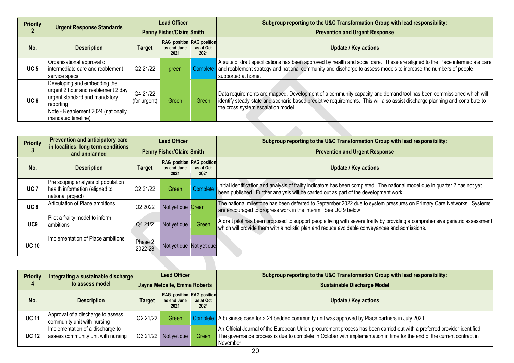| <b>Priority</b> | <b>Urgent Response Standards</b>                                                                                                                                             | <b>Lead Officer</b>              |                                                  |                   | Subgroup reporting to the U&C Transformation Group with lead responsibility:                                                                                                                                                                                                             |
|-----------------|------------------------------------------------------------------------------------------------------------------------------------------------------------------------------|----------------------------------|--------------------------------------------------|-------------------|------------------------------------------------------------------------------------------------------------------------------------------------------------------------------------------------------------------------------------------------------------------------------------------|
|                 |                                                                                                                                                                              | <b>Penny Fisher/Claire Smith</b> |                                                  |                   | <b>Prevention and Urgent Response</b>                                                                                                                                                                                                                                                    |
| No.             | <b>Description</b>                                                                                                                                                           | <b>Target</b>                    | RAG position RAG position<br>as end June<br>2021 | as at Oct<br>2021 | <b>Update / Key actions</b>                                                                                                                                                                                                                                                              |
| UC <sub>5</sub> | Organisational approval of<br>intermediate care and reablement<br>service specs                                                                                              | Q2 21/22                         | green                                            |                   | A suite of draft specifications has been approved by health and social care. These are aligned to the Place intermediate care<br>Complete   and reablement strategy and national community and discharge to assess models to increase the numbers of people<br>supported at home.        |
| UC <sub>6</sub> | Developing and embedding the<br>urgent 2 hour and reablement 2 day<br>urgent standard and mandatory<br>reporting<br>Note - Reablement 2024 (nationally<br>mandated timeline) | Q4 21/22<br>(for urgent)         | Green                                            | <b>Green</b>      | Data requirements are mapped. Development of a community capacity and demand tool has been commissioned which will<br>identify steady state and scenario based predictive requirements. This will also assist discharge planning and contribute to<br>the cross system escalation model. |
|                 |                                                                                                                                                                              |                                  |                                                  |                   |                                                                                                                                                                                                                                                                                          |
|                 | Drovantion and ontioinatoms care                                                                                                                                             |                                  | $\sim$ $\sim$ $\sim$ $\sim$ $\sim$               |                   | <b><i><u>PERSON</u></i></b><br>$\sim$ $\sim$<br>$\sim$ $\sim$ $\sim$ $\sim$ $\sim$<br>.                                                                                                                                                                                                  |

| <b>Priority</b> | <b>Prevention and anticipatory care</b>                                                   | <b>Lead Officer</b><br><b>Penny Fisher/Claire Smith</b> |                                                         |                   | Subgroup reporting to the U&C Transformation Group with lead responsibility:                                                                                                                                                    |
|-----------------|-------------------------------------------------------------------------------------------|---------------------------------------------------------|---------------------------------------------------------|-------------------|---------------------------------------------------------------------------------------------------------------------------------------------------------------------------------------------------------------------------------|
|                 | in localities: long term conditions<br>and unplanned                                      |                                                         |                                                         |                   | <b>Prevention and Urgent Response</b>                                                                                                                                                                                           |
| No.             | <b>Description</b>                                                                        | <b>Target</b>                                           | <b>RAG</b> position RAG position<br>as end June<br>2021 | as at Oct<br>2021 | <b>Update / Key actions</b>                                                                                                                                                                                                     |
| UC <sub>7</sub> | Pre scoping analysis of population<br>health information (aligned to<br>national project) | Q2 21/22                                                | Green                                                   | Complete          | Initial identification and analysis of frailty indicators has been completed. The national model due in quarter 2 has not yet<br>been published. Further analysis will be carried out as part of the development work.          |
| UC <sub>8</sub> | Articulation of Place ambitions                                                           | Q2 2022                                                 | Not yet due Green                                       |                   | The national milestone has been deferred to September 2022 due to system pressures on Primary Care Networks. Systems<br>are encouraged to progress work in the interim. See UC 9 below                                          |
| UC <sub>9</sub> | Pilot a frailty model to inform<br>ambitions                                              | Q4 21/2                                                 | Not yet due                                             | Green             | A draft pilot has been proposed to support people living with severe frailty by providing a comprehensive geriatric assessment<br>which will provide them with a holistic plan and reduce avoidable conveyances and admissions. |
| <b>UC 10</b>    | Implementation of Place ambitions                                                         | Phase 2<br>2022-23                                      | Not yet due Not yet due                                 |                   |                                                                                                                                                                                                                                 |
|                 |                                                                                           |                                                         |                                                         |                   |                                                                                                                                                                                                                                 |

| <b>Priority</b> | Integrating a sustainable discharge                                    | <b>Lead Officer</b><br>Jayne Metcalfe, Emma Roberts |                                                         |                   | Subgroup reporting to the U&C Transformation Group with lead responsibility:                                                                                                                                                                                     |
|-----------------|------------------------------------------------------------------------|-----------------------------------------------------|---------------------------------------------------------|-------------------|------------------------------------------------------------------------------------------------------------------------------------------------------------------------------------------------------------------------------------------------------------------|
|                 | to assess model                                                        |                                                     |                                                         |                   | <b>Sustainable Discharge Model</b>                                                                                                                                                                                                                               |
| No.             | <b>Description</b>                                                     | <b>Target</b>                                       | <b>RAG</b> position RAG position<br>as end June<br>2021 | as at Oct<br>2021 | <b>Update / Key actions</b>                                                                                                                                                                                                                                      |
| <b>UC 11</b>    | Approval of a discharge to assess<br>community unit with nursing       | Q2 21/22                                            | Green                                                   |                   | Complete A business case for a 24 bedded community unit was approved by Place partners in July 2021                                                                                                                                                              |
| <b>UC 12</b>    | Implementation of a discharge to<br>assess community unit with nursing |                                                     | $Q321/22$ Not yet due                                   | Green             | An Official Journal of the European Union procurement process has been carried out with a preferred provider identified.<br>The governance process is due to complete in October with implementation in time for the end of the current contract in<br>November. |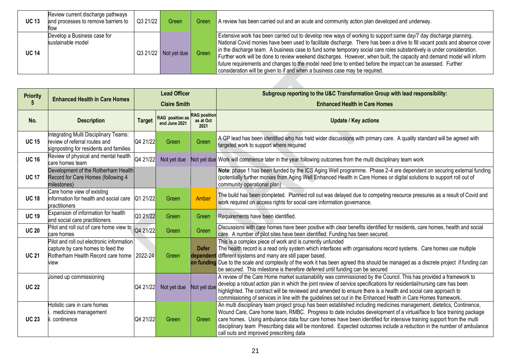| <b>UC 13</b> | Review current discharge pathways<br>and processes to remove barriers to<br>tlow | Q3 21/22 | Green                 | Green | A review has been carried out and an acute and community action plan developed and underway.                                                                                                                                                                                                                                                                                                                                                                                                                                                                                                                                                                                                    |
|--------------|----------------------------------------------------------------------------------|----------|-----------------------|-------|-------------------------------------------------------------------------------------------------------------------------------------------------------------------------------------------------------------------------------------------------------------------------------------------------------------------------------------------------------------------------------------------------------------------------------------------------------------------------------------------------------------------------------------------------------------------------------------------------------------------------------------------------------------------------------------------------|
| <b>UC 14</b> | Develop a Business case for<br>sustainable model                                 |          | $Q321/22$ Not yet due | Green | Extensive work has been carried out to develop new ways of working to support same day/7 day discharge planning.<br>National Covid monies have been used to facilitate discharge. There has been a drive to fill vacant posts and absence cover<br>in the discharge team. A business case to fund some temporary social care roles substantively is under consideration.<br>Further work will be done to review weekend discharges. However, when built, the capacity and demand model will inform<br>future requirements and changes to the model need time to embed before the impact can be assessed. Further<br>consideration will be given to if and when a business case may be required. |

| <b>Priority</b> |                                                                                                                             | <b>Lead Officer</b> |                                  |                                          | Subgroup reporting to the U&C Transformation Group with lead responsibility:                                                                                                                                                                                                                                                                                                                                                                                                                                                           |  |
|-----------------|-----------------------------------------------------------------------------------------------------------------------------|---------------------|----------------------------------|------------------------------------------|----------------------------------------------------------------------------------------------------------------------------------------------------------------------------------------------------------------------------------------------------------------------------------------------------------------------------------------------------------------------------------------------------------------------------------------------------------------------------------------------------------------------------------------|--|
|                 | <b>Enhanced Health in Care Homes</b>                                                                                        | <b>Claire Smith</b> |                                  |                                          | <b>Enhanced Health in Care Homes</b>                                                                                                                                                                                                                                                                                                                                                                                                                                                                                                   |  |
| No.             | <b>Description</b>                                                                                                          | <b>Target</b>       | RAG position as<br>end June 2021 | <b>RAG</b> position<br>as at Oct<br>2021 | <b>Update / Key actions</b>                                                                                                                                                                                                                                                                                                                                                                                                                                                                                                            |  |
| <b>UC 15</b>    | Integrating Multi Disciplinary Teams:<br>review of referral routes and<br>signposting for residents and families            | Q4 21/22            | Green                            | Green                                    | A GP lead has been identified who has held wider discussions with primary care. A quality standard will be agreed with<br>targeted work to support where required                                                                                                                                                                                                                                                                                                                                                                      |  |
| <b>UC 16</b>    | Review of physical and mental health<br>care homes team                                                                     | Q4 21/22            | Not yet due                      |                                          | Not yet due Work will commence later in the year following outcomes from the multi disciplinary team work                                                                                                                                                                                                                                                                                                                                                                                                                              |  |
| <b>UC 17</b>    | Development of the Rotherham Health<br>Record for Care Homes (following 4<br>milestones)                                    |                     |                                  |                                          | Note: phase 1 has been funded by the ICS Aging Well programme. Phase 2-4 are dependent on securing external funding<br>(potentially further monies from Aging Well Enhanced Health in Care Homes or digital solutions to support roll out of<br>community operational plan)                                                                                                                                                                                                                                                            |  |
| <b>UC 18</b>    | Care home view of existing<br>information for health and social care<br>practitioners                                       | Q1 21/22            | Green                            | Amber                                    | The build has been completed. Planned roll out was delayed due to competing resource pressures as a result of Covid and<br>work required on access rights for social care information governance.                                                                                                                                                                                                                                                                                                                                      |  |
| <b>UC 19</b>    | Expansion of information for health<br>and social care practitioners                                                        | Q3 21/22            | Green                            | Green                                    | Requirements have been identified.                                                                                                                                                                                                                                                                                                                                                                                                                                                                                                     |  |
| <b>UC 20</b>    | Pilot and roll out of care home view to<br>care homes                                                                       | Q4 21/22            | Green                            | Green                                    | Discussions with care homes have been positive with clear benefits identified for residents, care homes, health and social<br>care. A number of pilot sites have been identified. Funding has been secured.                                                                                                                                                                                                                                                                                                                            |  |
| <b>UC 21</b>    | Pilot and roll out electronic information<br>capture by care homes to feed the<br>Rotherham Health Record care home<br>view | 2022-24             | Green                            | <b>Defer</b>                             | This is a complex piece of work and is currently unfunded<br>The health record is a read only system which interfaces with organisations record systems. Care homes use multiple<br>dependent different systems and many are still paper based.<br>on funding Due to the scale and complexity of the work it has been agreed this should be managed as a discrete project if funding can<br>be secured. This milestone is therefore deferred until funding can be secured                                                              |  |
| <b>UC 22</b>    | Joined up commissioning                                                                                                     | Q4 21/22            | Not yet due                      | Not yet due                              | A review of the Care Home market sustainability was commissioned by the Council. This has provided a framework to<br>develop a robust action plan in which the joint review of service specifications for residential/nursing care has been<br>highlighted. The contract will be reviewed and amended to ensure there is a health and social care approach to<br>commissioning of services in line with the guidelines set out in the Enhanced Health in Care Homes framework.                                                         |  |
| <b>UC 23</b>    | Holistic care in care homes<br>medicines management<br>continence                                                           | Q4 21/22            | Green                            | Green                                    | An multi disciplinary team project group has been established including medicines management, dietetics, Continence,<br>Wound Care, Care home team, RMBC. Progress to date includes development of a virtual/face to face training package<br>care homes. Using ambulance data four care homes have been identified for intensive training support from the multi<br>disciplinary team Prescribing data will be monitored. Expected outcomes include a reduction in the number of ambulance<br>call outs and improved prescribing data |  |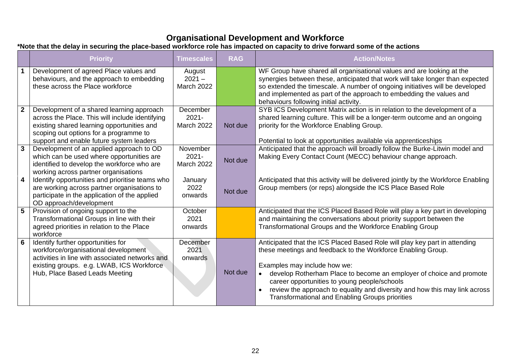### **Organisational Development and Workforce**

#### **\*Note that the delay in securing the place-based workforce role has impacted on capacity to drive forward some of the actions**

|                         | <b>Priority</b>                                                                                                                                                                                                                  | <b>Timescales</b>                         | <b>RAG</b> | <b>Action/Notes</b>                                                                                                                                                                                                                                                                                                                                                                                                                                    |
|-------------------------|----------------------------------------------------------------------------------------------------------------------------------------------------------------------------------------------------------------------------------|-------------------------------------------|------------|--------------------------------------------------------------------------------------------------------------------------------------------------------------------------------------------------------------------------------------------------------------------------------------------------------------------------------------------------------------------------------------------------------------------------------------------------------|
|                         | Development of agreed Place values and<br>behaviours, and the approach to embedding<br>these across the Place workforce                                                                                                          | August<br>$2021 -$<br><b>March 2022</b>   |            | WF Group have shared all organisational values and are looking at the<br>synergies between these, anticipated that work will take longer than expected<br>so extended the timescale. A number of ongoing initiatives will be developed<br>and implemented as part of the approach to embedding the values and<br>behaviours following initial activity.                                                                                                |
| $\overline{2}$          | Development of a shared learning approach<br>across the Place. This will include identifying<br>existing shared learning opportunities and<br>scoping out options for a programme to<br>support and enable future system leaders | December<br>$2021 -$<br><b>March 2022</b> | Not due    | SYB ICS Development Matrix action is in relation to the development of a<br>shared learning culture. This will be a longer-term outcome and an ongoing<br>priority for the Workforce Enabling Group.<br>Potential to look at opportunities available via apprenticeships                                                                                                                                                                               |
| $\mathbf{3}$            | Development of an applied approach to OD<br>which can be used where opportunities are<br>identified to develop the workforce who are<br>working across partner organisations                                                     | November<br>$2021 -$<br><b>March 2022</b> | Not due    | Anticipated that the approach will broadly follow the Burke-Litwin model and<br>Making Every Contact Count (MECC) behaviour change approach.                                                                                                                                                                                                                                                                                                           |
| $\overline{\mathbf{4}}$ | Identify opportunities and prioritise teams who<br>are working across partner organisations to<br>participate in the application of the applied<br>OD approach/development                                                       | January<br>2022<br>onwards                | Not due    | Anticipated that this activity will be delivered jointly by the Workforce Enabling<br>Group members (or reps) alongside the ICS Place Based Role                                                                                                                                                                                                                                                                                                       |
| $5\phantom{.0}$         | Provision of ongoing support to the<br>Transformational Groups in line with their<br>agreed priorities in relation to the Place<br>workforce                                                                                     | October<br>2021<br>onwards                |            | Anticipated that the ICS Placed Based Role will play a key part in developing<br>and maintaining the conversations about priority support between the<br>Transformational Groups and the Workforce Enabling Group                                                                                                                                                                                                                                      |
| 6                       | Identify further opportunities for<br>workforce/organisational development<br>activities in line with associated networks and<br>existing groups. e.g. LWAB, ICS Workforce<br>Hub, Place Based Leads Meeting                     | December<br>2021<br>onwards               | Not due    | Anticipated that the ICS Placed Based Role will play key part in attending<br>these meetings and feedback to the Workforce Enabling Group.<br>Examples may include how we:<br>develop Rotherham Place to become an employer of choice and promote<br>$\bullet$<br>career opportunities to young people/schools<br>review the approach to equality and diversity and how this may link across<br><b>Transformational and Enabling Groups priorities</b> |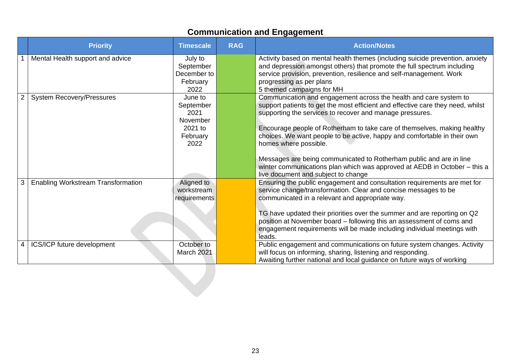## **Communication and Engagement**

|                | <b>Priority</b>                           | <b>Timescale</b>                                                        | <b>RAG</b> | <b>Action/Notes</b>                                                                                                                                                                                                                                                                                                                                                                                                                                                                                                                                                                          |
|----------------|-------------------------------------------|-------------------------------------------------------------------------|------------|----------------------------------------------------------------------------------------------------------------------------------------------------------------------------------------------------------------------------------------------------------------------------------------------------------------------------------------------------------------------------------------------------------------------------------------------------------------------------------------------------------------------------------------------------------------------------------------------|
|                | Mental Health support and advice          | July to<br>September<br>December to<br>February<br>2022                 |            | Activity based on mental health themes (including suicide prevention, anxiety<br>and depression amongst others) that promote the full spectrum including<br>service provision, prevention, resilience and self-management. Work<br>progressing as per plans<br>5 themed campaigns for MH                                                                                                                                                                                                                                                                                                     |
| $\overline{2}$ | <b>System Recovery/Pressures</b>          | June to<br>September<br>2021<br>November<br>2021 to<br>February<br>2022 |            | Communication and engagement across the health and care system to<br>support patients to get the most efficient and effective care they need, whilst<br>supporting the services to recover and manage pressures.<br>Encourage people of Rotherham to take care of themselves, making healthy<br>choices. We want people to be active, happy and comfortable in their own<br>homes where possible.<br>Messages are being communicated to Rotherham public and are in line<br>winter communications plan which was approved at AEDB in October - this a<br>live document and subject to change |
| 3              | <b>Enabling Workstream Transformation</b> | Aligned to<br>workstream<br>requirements                                |            | Ensuring the public engagement and consultation requirements are met for<br>service change/transformation. Clear and concise messages to be<br>communicated in a relevant and appropriate way.<br>TG have updated their priorities over the summer and are reporting on Q2<br>position at November board - following this an assessment of coms and<br>engagement requirements will be made including individual meetings with<br>leads.                                                                                                                                                     |
| 4              | ICS/ICP future development                | October to<br>March 2021                                                |            | Public engagement and communications on future system changes. Activity<br>will focus on informing, sharing, listening and responding.<br>Awaiting further national and local guidance on future ways of working                                                                                                                                                                                                                                                                                                                                                                             |
|                |                                           |                                                                         |            |                                                                                                                                                                                                                                                                                                                                                                                                                                                                                                                                                                                              |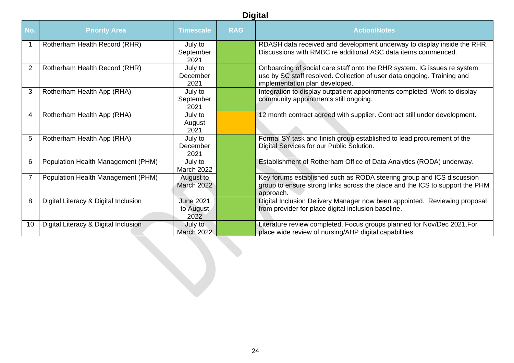| <b>Digital</b> |                                      |                                       |            |                                                                                                                                                                                       |  |  |  |  |
|----------------|--------------------------------------|---------------------------------------|------------|---------------------------------------------------------------------------------------------------------------------------------------------------------------------------------------|--|--|--|--|
| No.            | <b>Priority Area</b>                 | <b>Timescale</b>                      | <b>RAG</b> | <b>Action/Notes</b>                                                                                                                                                                   |  |  |  |  |
| $\mathbf{1}$   | Rotherham Health Record (RHR)        | July to<br>September<br>2021          |            | RDASH data received and development underway to display inside the RHR.<br>Discussions with RMBC re additional ASC data items commenced.                                              |  |  |  |  |
| $\overline{2}$ | Rotherham Health Record (RHR)        | July to<br>December<br>2021           |            | Onboarding of social care staff onto the RHR system. IG issues re system<br>use by SC staff resolved. Collection of user data ongoing. Training and<br>implementation plan developed. |  |  |  |  |
| 3              | Rotherham Health App (RHA)           | July to<br>September<br>2021          |            | Integration to display outpatient appointments completed. Work to display<br>community appointments still ongoing.                                                                    |  |  |  |  |
| $\overline{4}$ | Rotherham Health App (RHA)           | July to<br>August<br>2021             |            | 12 month contract agreed with supplier. Contract still under development.                                                                                                             |  |  |  |  |
| 5              | Rotherham Health App (RHA)           | July to<br>December<br>2021           |            | Formal SY task and finish group established to lead procurement of the<br>Digital Services for our Public Solution.                                                                   |  |  |  |  |
| 6              | Population Health Management (PHM)   | July to<br>March 2022                 |            | Establishment of Rotherham Office of Data Analytics (RODA) underway.                                                                                                                  |  |  |  |  |
| $\overline{7}$ | Population Health Management (PHM)   | August to<br><b>March 2022</b>        |            | Key forums established such as RODA steering group and ICS discussion<br>group to ensure strong links across the place and the ICS to support the PHM<br>approach.                    |  |  |  |  |
| 8              | Digital Literacy & Digital Inclusion | <b>June 2021</b><br>to August<br>2022 |            | Digital Inclusion Delivery Manager now been appointed. Reviewing proposal<br>from provider for place digital inclusion baseline.                                                      |  |  |  |  |
| 10             | Digital Literacy & Digital Inclusion | July to<br><b>March 2022</b>          |            | Literature review completed. Focus groups planned for Nov/Dec 2021. For<br>place wide review of nursing/AHP digital capabilities.                                                     |  |  |  |  |